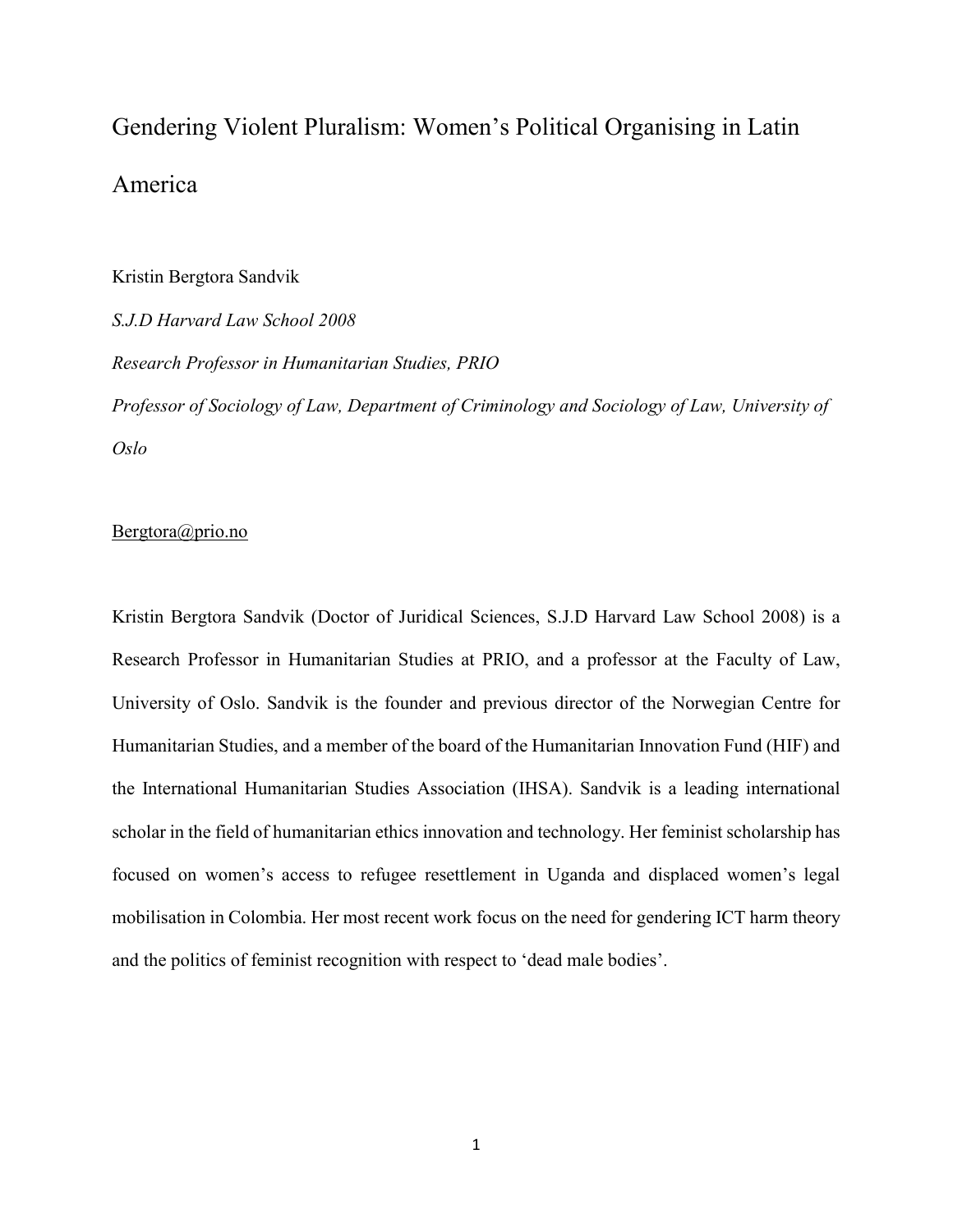# Gendering Violent Pluralism: Women's Political Organising in Latin America

#### Kristin Bergtora Sandvik

*S.J.D Harvard Law School 2008 Research Professor in Humanitarian Studies, PRIO Professor of Sociology of Law, Department of Criminology and Sociology of Law, University of Oslo*

## [Bergtora@prio.no](mailto:Bergtora@prio.no)

Kristin Bergtora Sandvik (Doctor of Juridical Sciences, S.J.D Harvard Law School 2008) is a Research Professor in Humanitarian Studies at PRIO, and a professor at the Faculty of Law, University of Oslo. Sandvik is the founder and previous director of the Norwegian Centre for Humanitarian Studies, and a member of the board of the Humanitarian Innovation Fund (HIF) and the International Humanitarian Studies Association (IHSA). Sandvik is a leading international scholar in the field of humanitarian ethics innovation and technology. Her feminist scholarship has focused on women's access to refugee resettlement in Uganda and displaced women's legal mobilisation in Colombia. Her most recent work focus on the need for gendering ICT harm theory and the politics of feminist recognition with respect to 'dead male bodies'.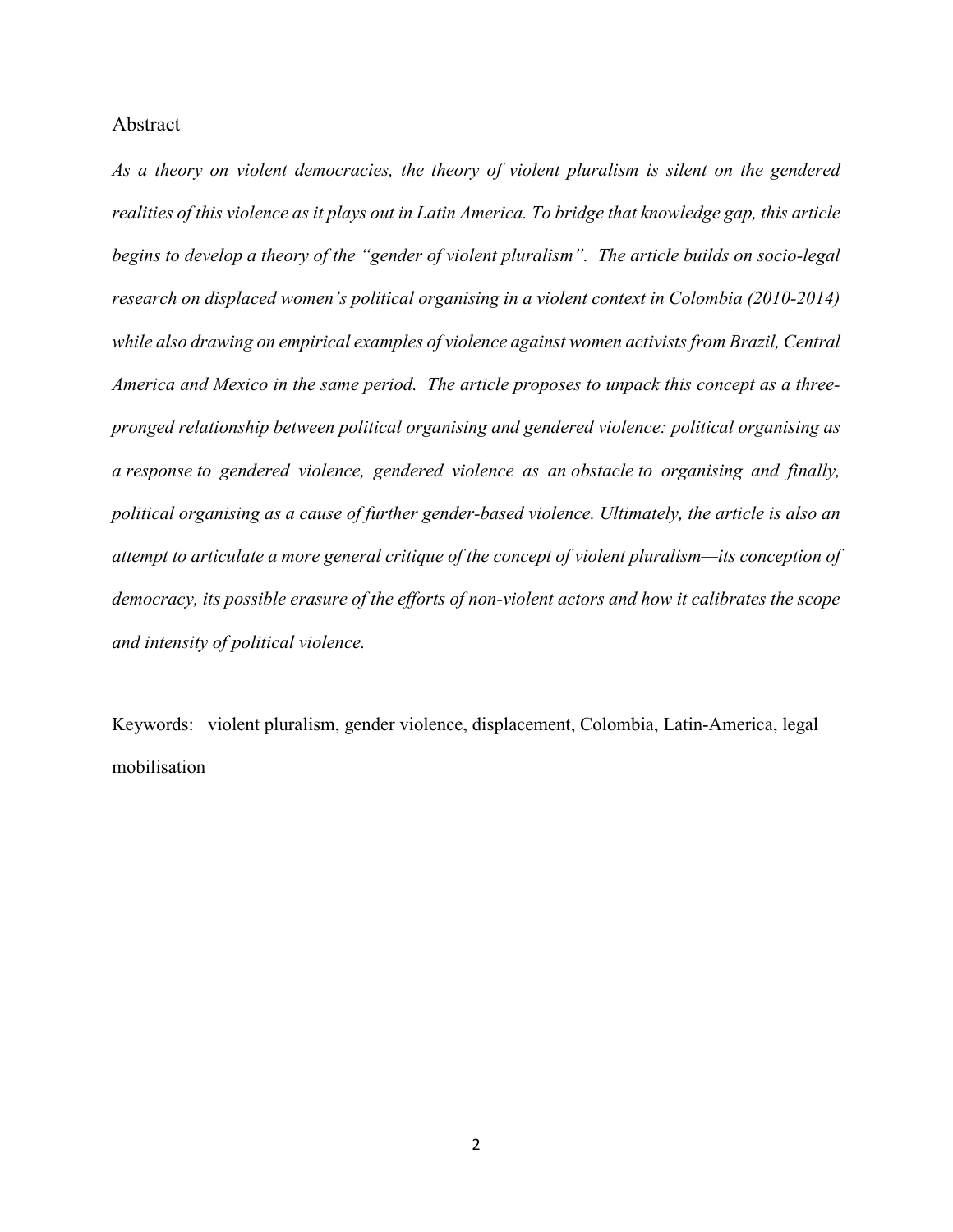# Abstract

*As a theory on violent democracies, the theory of violent pluralism is silent on the gendered realities of this violence as it plays out in Latin America. To bridge that knowledge gap, this article begins to develop a theory of the "gender of violent pluralism". The article builds on socio-legal research on displaced women's political organising in a violent context in Colombia (2010-2014) while also drawing on empirical examples of violence against women activists from Brazil, Central America and Mexico in the same period. The article proposes to unpack this concept as a threepronged relationship between political organising and gendered violence: political organising as a response to gendered violence, gendered violence as an obstacle to organising and finally, political organising as a cause of further gender-based violence. Ultimately, the article is also an attempt to articulate a more general critique of the concept of violent pluralism—its conception of democracy, its possible erasure of the efforts of non-violent actors and how it calibrates the scope and intensity of political violence.*

Keywords: violent pluralism, gender violence, displacement, Colombia, Latin-America, legal mobilisation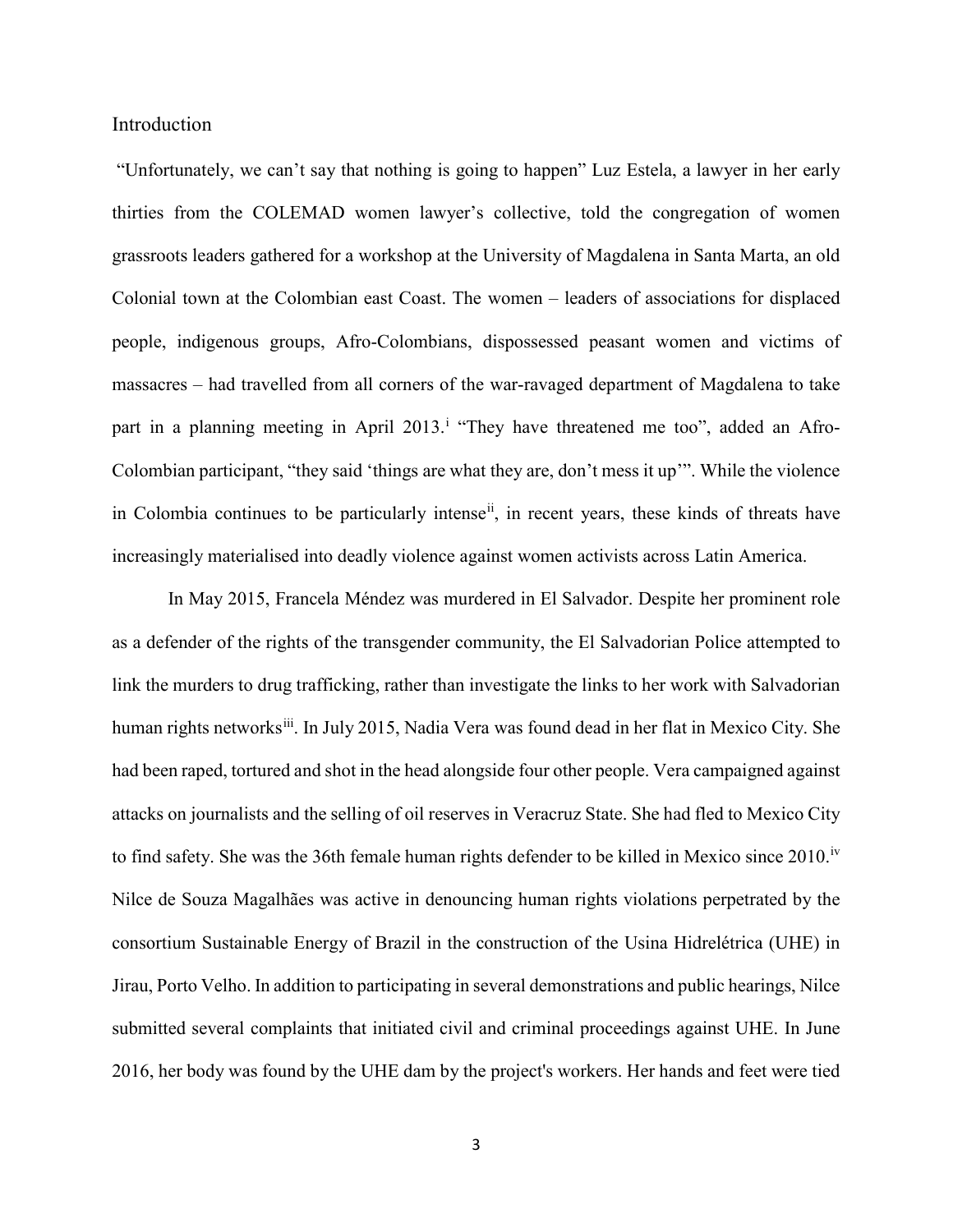Introduction

"Unfortunately, we can't say that nothing is going to happen" Luz Estela, a lawyer in her early thirties from the COLEMAD women lawyer's collective, told the congregation of women grassroots leaders gathered for a workshop at the University of Magdalena in Santa Marta, an old Colonial town at the Colombian east Coast. The women – leaders of associations for displaced people, indigenous groups, Afro-Colombians, dispossessed peasant women and victims of massacres – had travelled from all corners of the war-ravaged department of Magdalena to take part [i](#page-29-0)n a planning meeting in April 2013.<sup>i</sup> "They have threatened me too", added an Afro-Colombian participant, "they said 'things are what they are, don't mess it up'". While the violence in Colombia continues to be particularly intense<sup>ii</sup>, in recent years, these kinds of threats have increasingly materialised into deadly violence against women activists across Latin America.

In May 2015, Francela Méndez was murdered in El Salvador. Despite her prominent role as a defender of the rights of the transgender community, the El Salvadorian Police attempted to link the murders to drug trafficking, rather than investigate the links to her work with Salvadorian human rights networks<sup>iii</sup>. In July 2015, Nadia Vera was found dead in her flat in Mexico City. She had been raped, tortured and shot in the head alongside four other people. Vera campaigned against attacks on journalists and the selling of oil reserves in Veracruz State. She had fled to Mexico City to find safety. She was the 36th female human rights defender to be killed in Mexico since 2010.<sup>[iv](#page-29-3)</sup> Nilce de Souza Magalhães was active in denouncing human rights violations perpetrated by the consortium Sustainable Energy of Brazil in the construction of the Usina Hidrelétrica (UHE) in Jirau, Porto Velho. In addition to participating in several demonstrations and public hearings, Nilce submitted several complaints that initiated civil and criminal proceedings against UHE. In June 2016, her body was found by the UHE dam by the project's workers. Her hands and feet were tied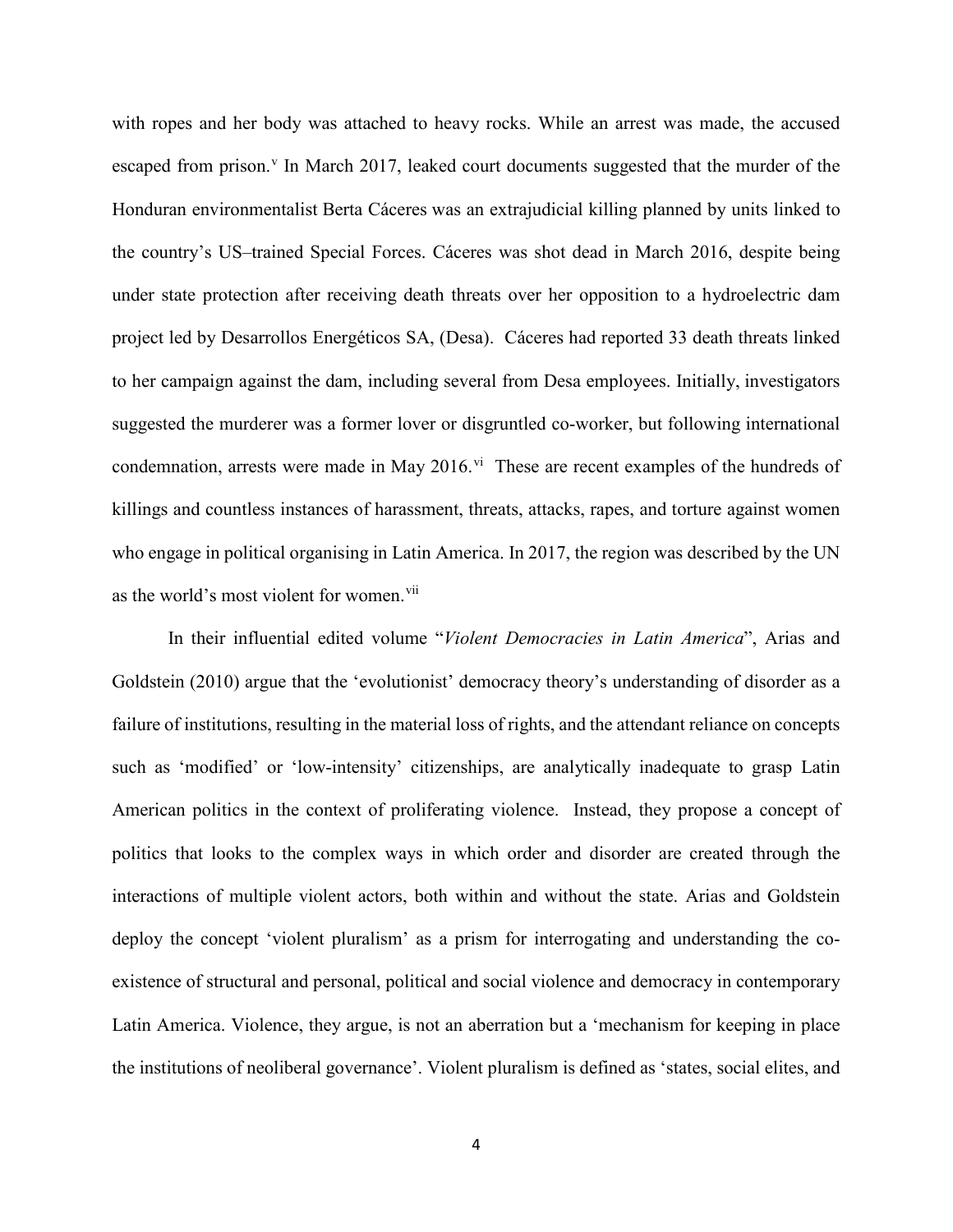with ropes and her body was attached to heavy rocks. While an arrest was made, the accused escaped from prison.<sup>[v](#page-29-4)</sup> In March 2017, leaked court documents suggested that the murder of the Honduran environmentalist Berta Cáceres was an extrajudicial killing planned by units linked to the country's US–trained Special Forces. Cáceres was shot dead in March 2016, despite being under state protection after receiving death threats over her opposition to a hydroelectric dam project led by Desarrollos Energéticos SA, (Desa). Cáceres had reported 33 death threats linked to her campaign against the dam, including several from Desa employees. Initially, investigators suggested the murderer was a former lover or disgruntled co-worker, but following international condemnation, arrests were made in May 2016.<sup>vi</sup> These are recent examples of the hundreds of killings and countless instances of harassment, threats, attacks, rapes, and torture against women who engage in political organising in Latin America. In 2017, the region was described by the UN as the world's most violent for women.<sup>[vii](#page-29-6)</sup>

In their influential edited volume "*Violent Democracies in Latin America*", Arias and Goldstein (2010) argue that the 'evolutionist' democracy theory's understanding of disorder as a failure of institutions, resulting in the material loss of rights, and the attendant reliance on concepts such as 'modified' or 'low-intensity' citizenships, are analytically inadequate to grasp Latin American politics in the context of proliferating violence. Instead, they propose a concept of politics that looks to the complex ways in which order and disorder are created through the interactions of multiple violent actors, both within and without the state. Arias and Goldstein deploy the concept 'violent pluralism' as a prism for interrogating and understanding the coexistence of structural and personal, political and social violence and democracy in contemporary Latin America. Violence, they argue, is not an aberration but a 'mechanism for keeping in place the institutions of neoliberal governance'. Violent pluralism is defined as 'states, social elites, and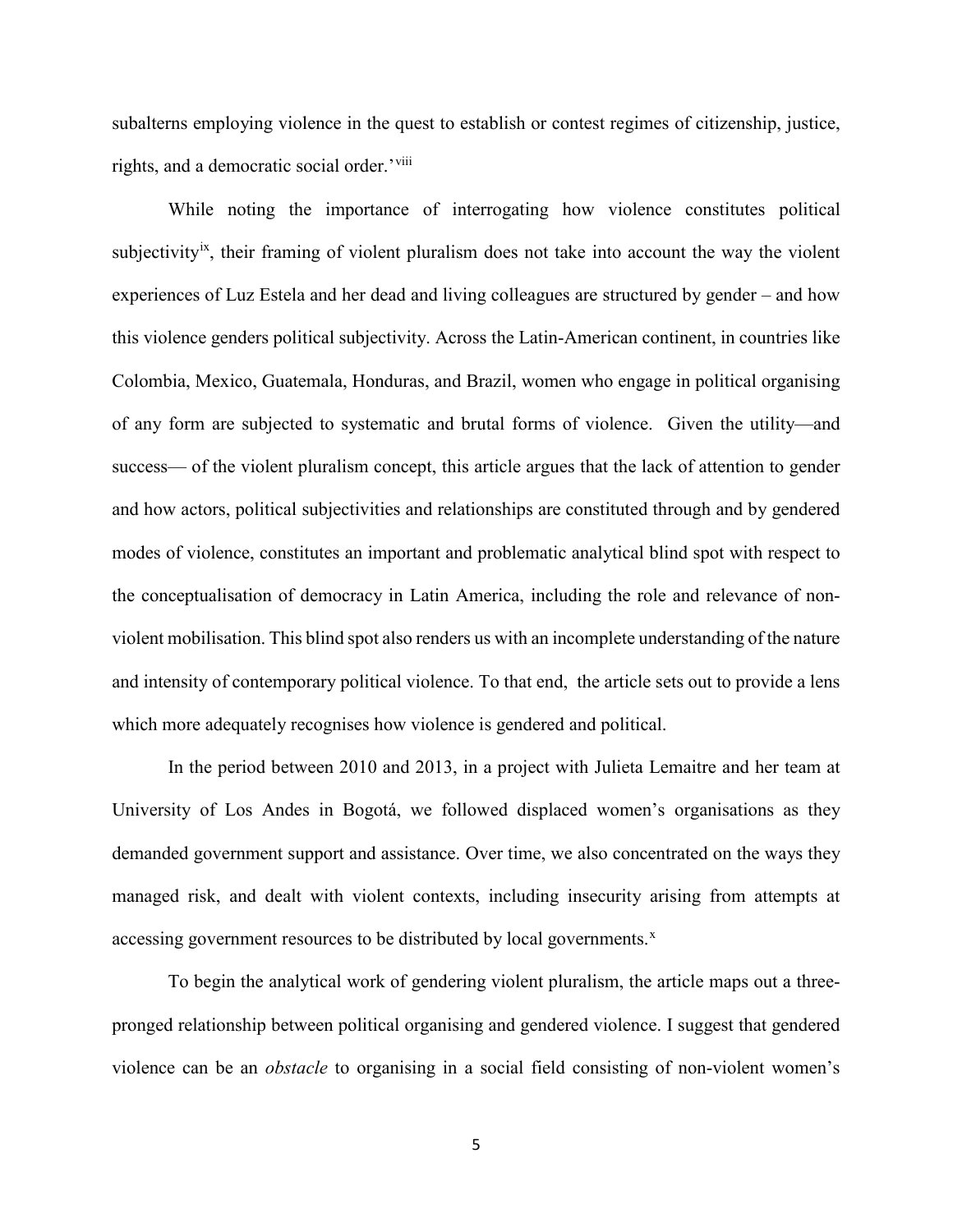subalterns employing violence in the quest to establish or contest regimes of citizenship, justice, rights, and a democratic social order.<sup>'[viii](#page-29-7)</sup>

While noting the importance of interrogating how violence constitutes political subjectivity<sup>ix</sup>, their framing of violent pluralism does not take into account the way the violent experiences of Luz Estela and her dead and living colleagues are structured by gender – and how this violence genders political subjectivity. Across the Latin-American continent, in countries like Colombia, Mexico, Guatemala, Honduras, and Brazil, women who engage in political organising of any form are subjected to systematic and brutal forms of violence. Given the utility—and success— of the violent pluralism concept, this article argues that the lack of attention to gender and how actors, political subjectivities and relationships are constituted through and by gendered modes of violence, constitutes an important and problematic analytical blind spot with respect to the conceptualisation of democracy in Latin America, including the role and relevance of nonviolent mobilisation. This blind spot also renders us with an incomplete understanding of the nature and intensity of contemporary political violence. To that end, the article sets out to provide a lens which more adequately recognises how violence is gendered and political.

In the period between 2010 and 2013, in a project with Julieta Lemaitre and her team at University of Los Andes in Bogotá, we followed displaced women's organisations as they demanded government support and assistance. Over time, we also concentrated on the ways they managed risk, and dealt with violent contexts, including insecurity arising from attempts at accessing government resources to be distributed by local governments. $x$ 

To begin the analytical work of gendering violent pluralism, the article maps out a threepronged relationship between political organising and gendered violence. I suggest that gendered violence can be an *obstacle* to organising in a social field consisting of non-violent women's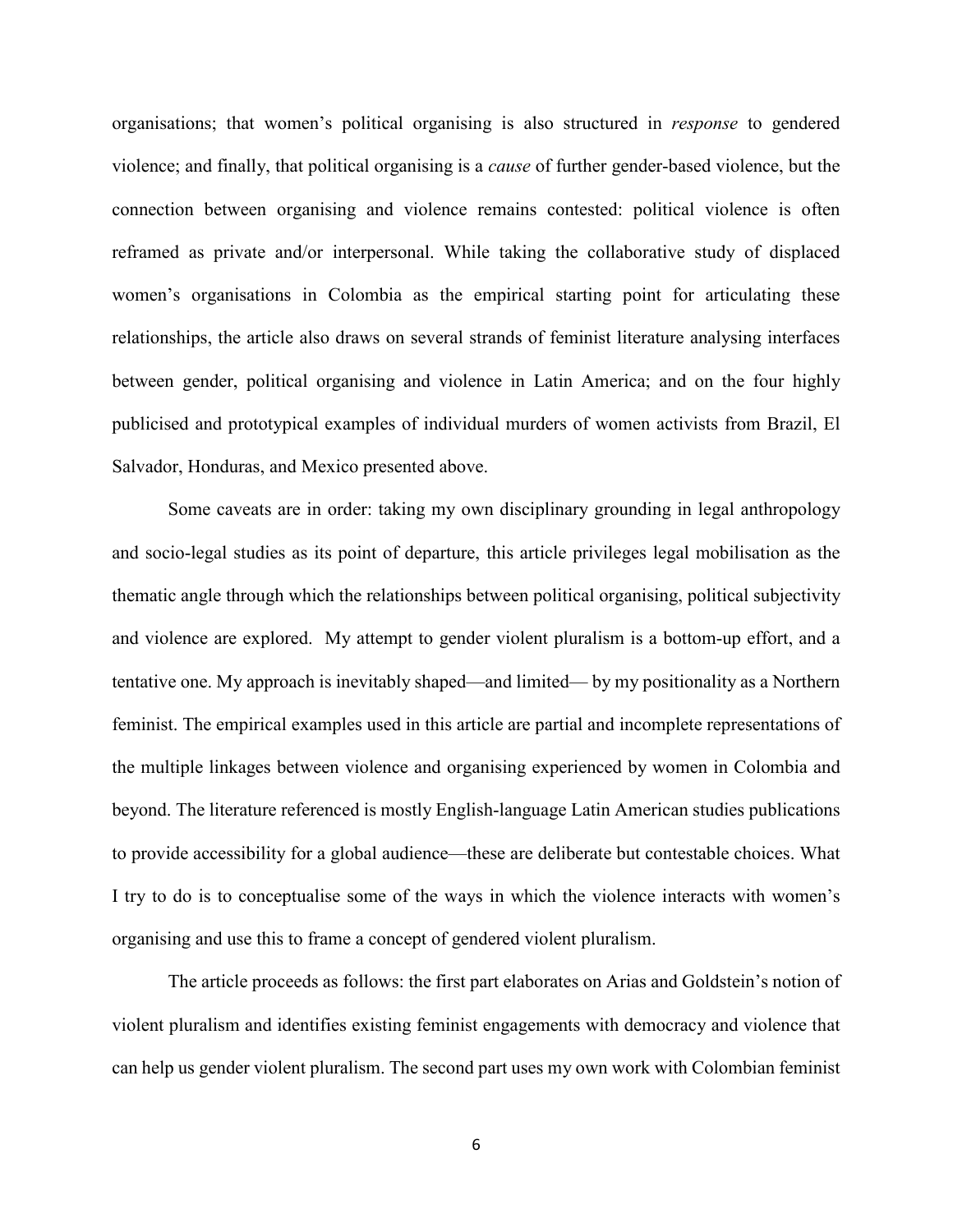organisations; that women's political organising is also structured in *response* to gendered violence; and finally, that political organising is a *cause* of further gender-based violence, but the connection between organising and violence remains contested: political violence is often reframed as private and/or interpersonal. While taking the collaborative study of displaced women's organisations in Colombia as the empirical starting point for articulating these relationships, the article also draws on several strands of feminist literature analysing interfaces between gender, political organising and violence in Latin America; and on the four highly publicised and prototypical examples of individual murders of women activists from Brazil, El Salvador, Honduras, and Mexico presented above.

Some caveats are in order: taking my own disciplinary grounding in legal anthropology and socio-legal studies as its point of departure, this article privileges legal mobilisation as the thematic angle through which the relationships between political organising, political subjectivity and violence are explored. My attempt to gender violent pluralism is a bottom-up effort, and a tentative one. My approach is inevitably shaped—and limited— by my positionality as a Northern feminist. The empirical examples used in this article are partial and incomplete representations of the multiple linkages between violence and organising experienced by women in Colombia and beyond. The literature referenced is mostly English-language Latin American studies publications to provide accessibility for a global audience—these are deliberate but contestable choices. What I try to do is to conceptualise some of the ways in which the violence interacts with women's organising and use this to frame a concept of gendered violent pluralism.

The article proceeds as follows: the first part elaborates on Arias and Goldstein's notion of violent pluralism and identifies existing feminist engagements with democracy and violence that can help us gender violent pluralism. The second part uses my own work with Colombian feminist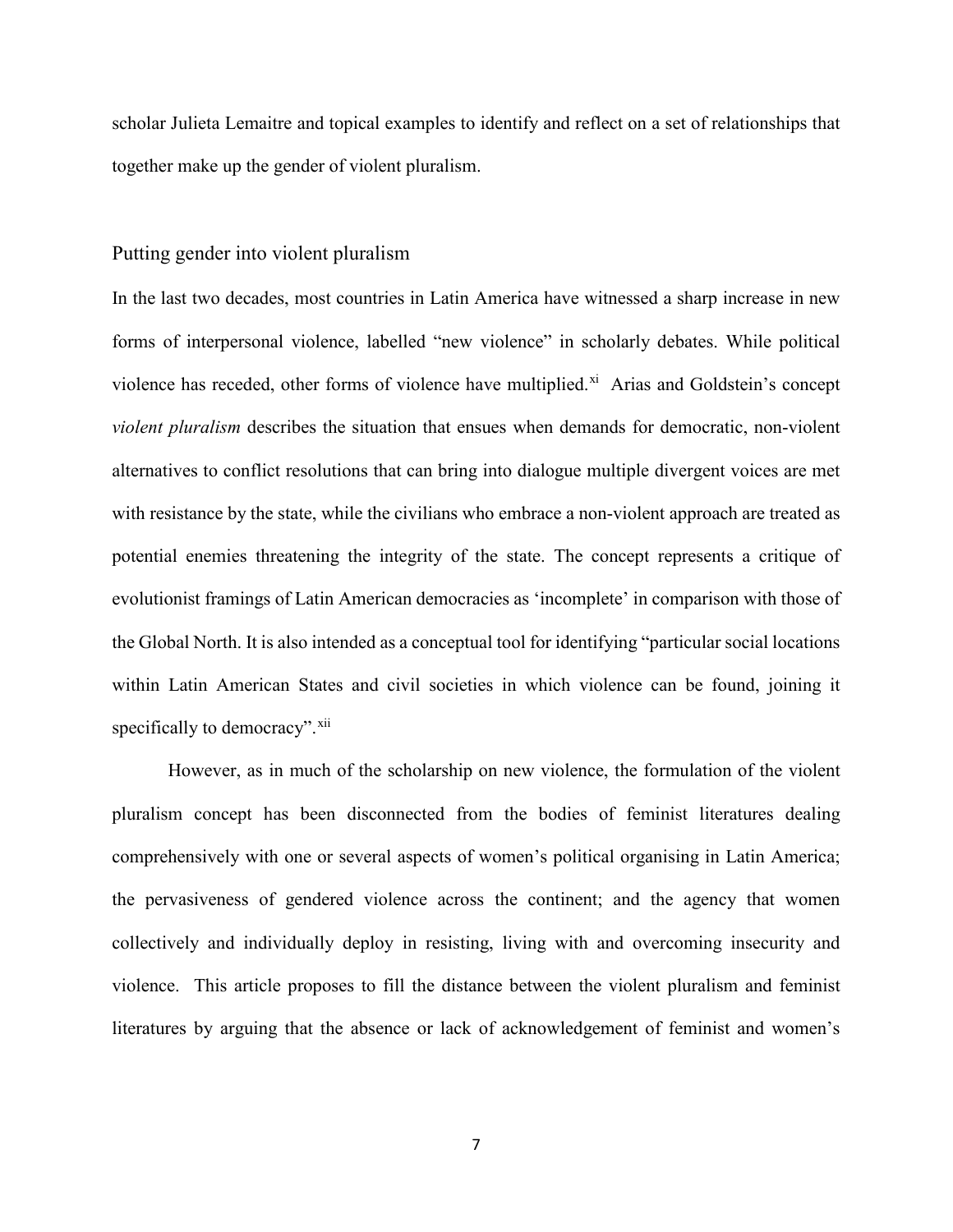scholar Julieta Lemaitre and topical examples to identify and reflect on a set of relationships that together make up the gender of violent pluralism.

#### Putting gender into violent pluralism

In the last two decades, most countries in Latin America have witnessed a sharp increase in new forms of interpersonal violence, labelled "new violence" in scholarly debates. While political violence has receded, other forms of violence have multiplied. $x_i$  Arias and Goldstein's concept *violent pluralism* describes the situation that ensues when demands for democratic, non-violent alternatives to conflict resolutions that can bring into dialogue multiple divergent voices are met with resistance by the state, while the civilians who embrace a non-violent approach are treated as potential enemies threatening the integrity of the state. The concept represents a critique of evolutionist framings of Latin American democracies as 'incomplete' in comparison with those of the Global North. It is also intended as a conceptual tool for identifying "particular social locations within Latin American States and civil societies in which violence can be found, joining it specifically to democracy".<sup>[xii](#page-29-11)</sup>

However, as in much of the scholarship on new violence, the formulation of the violent pluralism concept has been disconnected from the bodies of feminist literatures dealing comprehensively with one or several aspects of women's political organising in Latin America; the pervasiveness of gendered violence across the continent; and the agency that women collectively and individually deploy in resisting, living with and overcoming insecurity and violence. This article proposes to fill the distance between the violent pluralism and feminist literatures by arguing that the absence or lack of acknowledgement of feminist and women's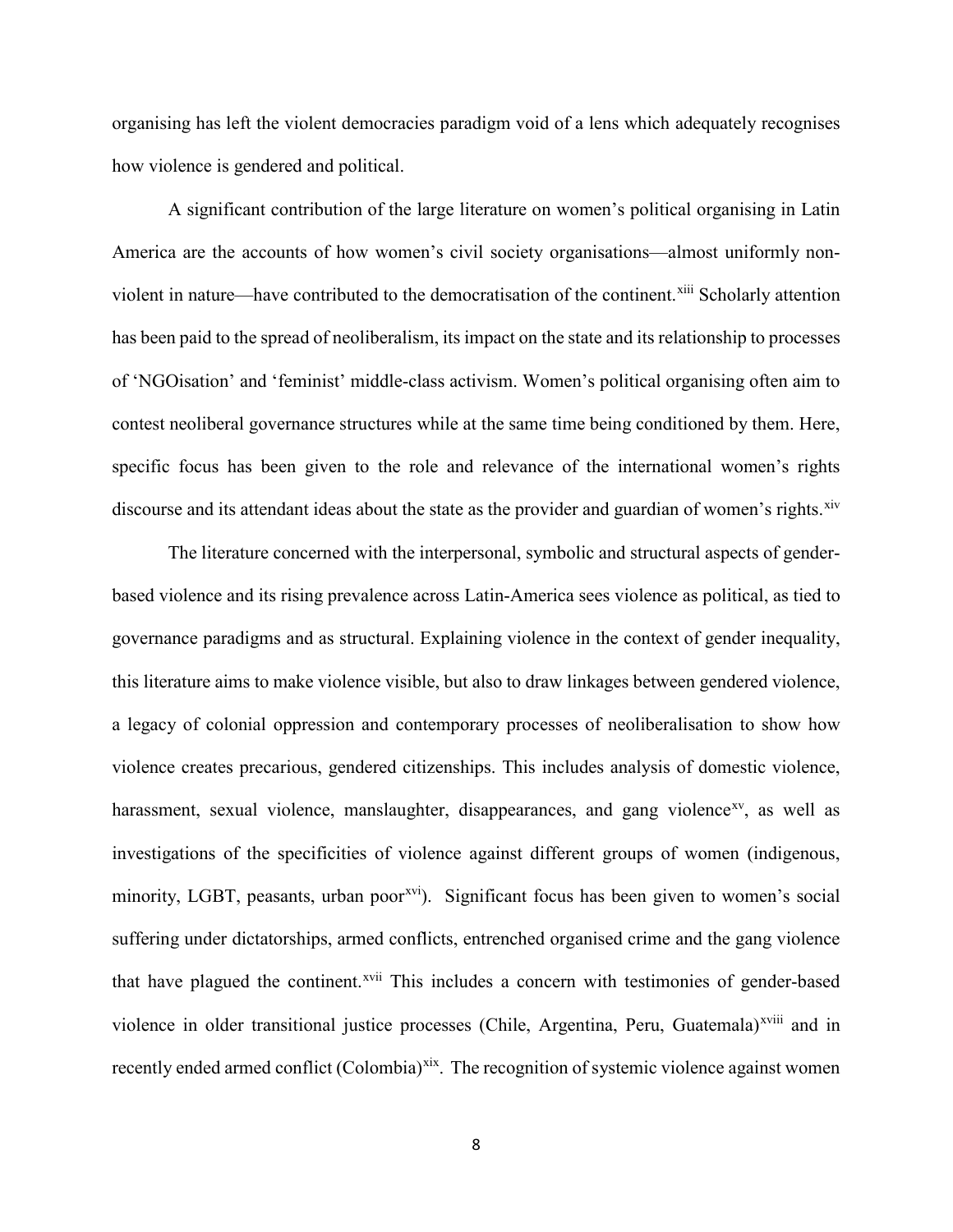organising has left the violent democracies paradigm void of a lens which adequately recognises how violence is gendered and political.

A significant contribution of the large literature on women's political organising in Latin America are the accounts of how women's civil society organisations—almost uniformly nonviolent in nature—have contributed to the democratisation of the continent.<sup>[xiii](#page-29-12)</sup> Scholarly attention has been paid to the spread of neoliberalism, its impact on the state and its relationship to processes of 'NGOisation' and 'feminist' middle-class activism. Women's political organising often aim to contest neoliberal governance structures while at the same time being conditioned by them. Here, specific focus has been given to the role and relevance of the international women's rights discourse and its attendant ideas about the state as the provider and guardian of women's rights.<sup>[xiv](#page-29-13)</sup>

The literature concerned with the interpersonal, symbolic and structural aspects of genderbased violence and its rising prevalence across Latin-America sees violence as political, as tied to governance paradigms and as structural. Explaining violence in the context of gender inequality, this literature aims to make violence visible, but also to draw linkages between gendered violence, a legacy of colonial oppression and contemporary processes of neoliberalisation to show how violence creates precarious, gendered citizenships. This includes analysis of domestic violence, harassment, sexual violence, manslaughter, disappearances, and gang violence<sup>[xv](#page-30-0)</sup>, as well as violence in older transitional justice processes (Chile, Argentina, Peru, Guatemala)<sup>xviii</sup> and in investigations of the specificities of violence against different groups of women (indigenous, minority, LGBT, peasants, urban poor<sup>xvi</sup>). Significant focus has been given to women's social suffering under dictatorships, armed conflicts, entrenched organised crime and the gang violence that have plagued the continent.<sup>[xvii](#page-30-2)</sup> This includes a concern with testimonies of gender-based recently ended armed conflict (Colombia)<sup>[xix](#page-30-3)</sup>. The recognition of systemic violence against women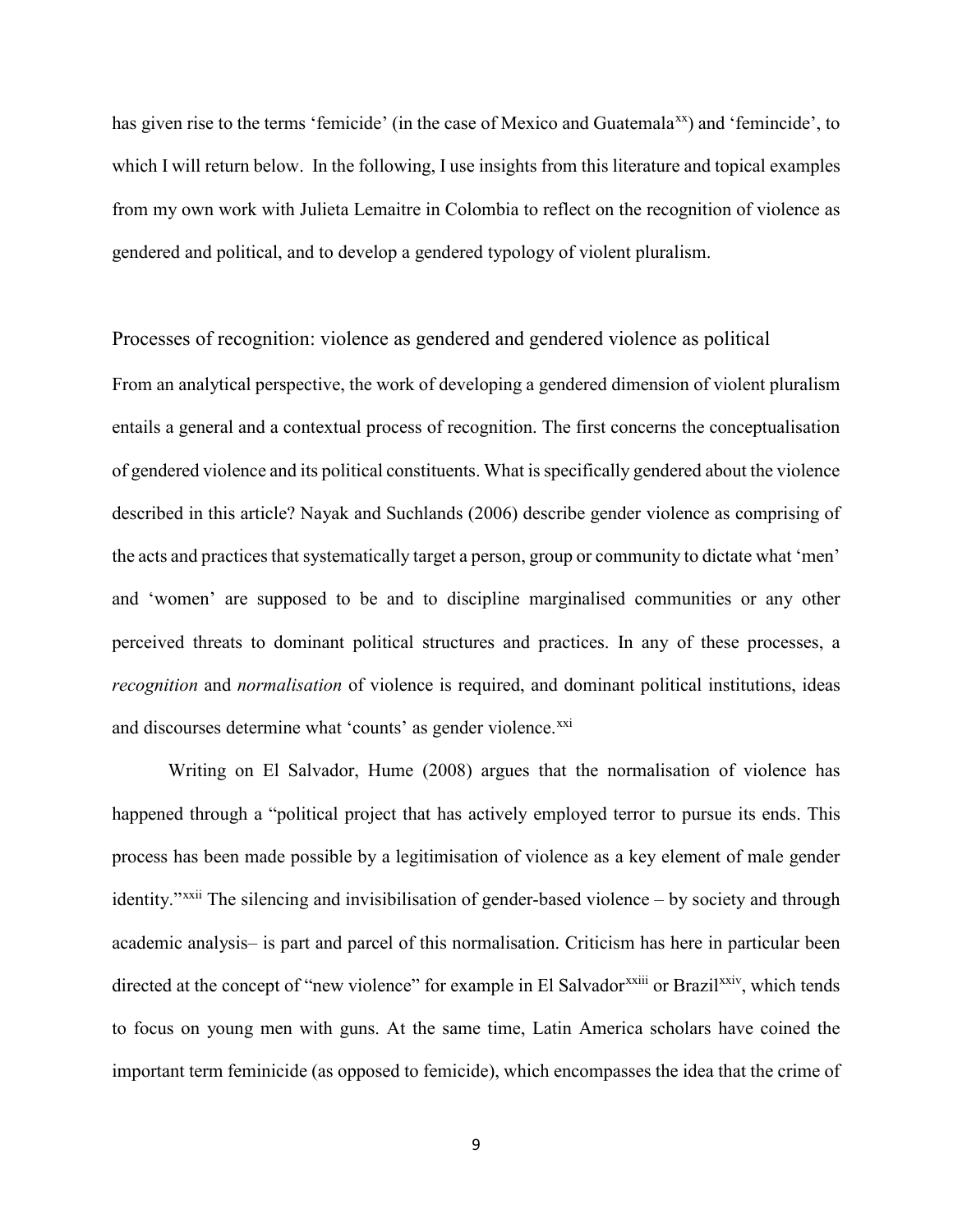has given rise to the terms 'femicide' (in the case of Mexico and Guatemala<sup>xx</sup>) and 'femincide', to which I will return below. In the following, I use insights from this literature and topical examples from my own work with Julieta Lemaitre in Colombia to reflect on the recognition of violence as gendered and political, and to develop a gendered typology of violent pluralism.

Processes of recognition: violence as gendered and gendered violence as political From an analytical perspective, the work of developing a gendered dimension of violent pluralism entails a general and a contextual process of recognition. The first concerns the conceptualisation of gendered violence and its political constituents. What is specifically gendered about the violence described in this article? Nayak and Suchlands (2006) describe gender violence as comprising of the acts and practices that systematically target a person, group or community to dictate what 'men' and 'women' are supposed to be and to discipline marginalised communities or any other perceived threats to dominant political structures and practices. In any of these processes, a *recognition* and *normalisation* of violence is required, and dominant political institutions, ideas and discourses determine what 'counts' as gender violence.<sup>[xxi](#page-30-5)</sup>

Writing on El Salvador, Hume (2008) argues that the normalisation of violence has happened through a "political project that has actively employed terror to pursue its ends. This process has been made possible by a legitimisation of violence as a key element of male gender identity."<sup>XXii</sup> The silencing and invisibilisation of gender-based violence – by society and through directed at the c[o](#page-30-7)ncept of "new violence" for example in El Salvador<sup>xxiii</sup> or Brazil<sup>xxiv</sup>, which tends academic analysis– is part and parcel of this normalisation. Criticism has here in particular been to focus on young men with guns. At the same time, Latin America scholars have coined the important term feminicide (as opposed to femicide), which encompasses the idea that the crime of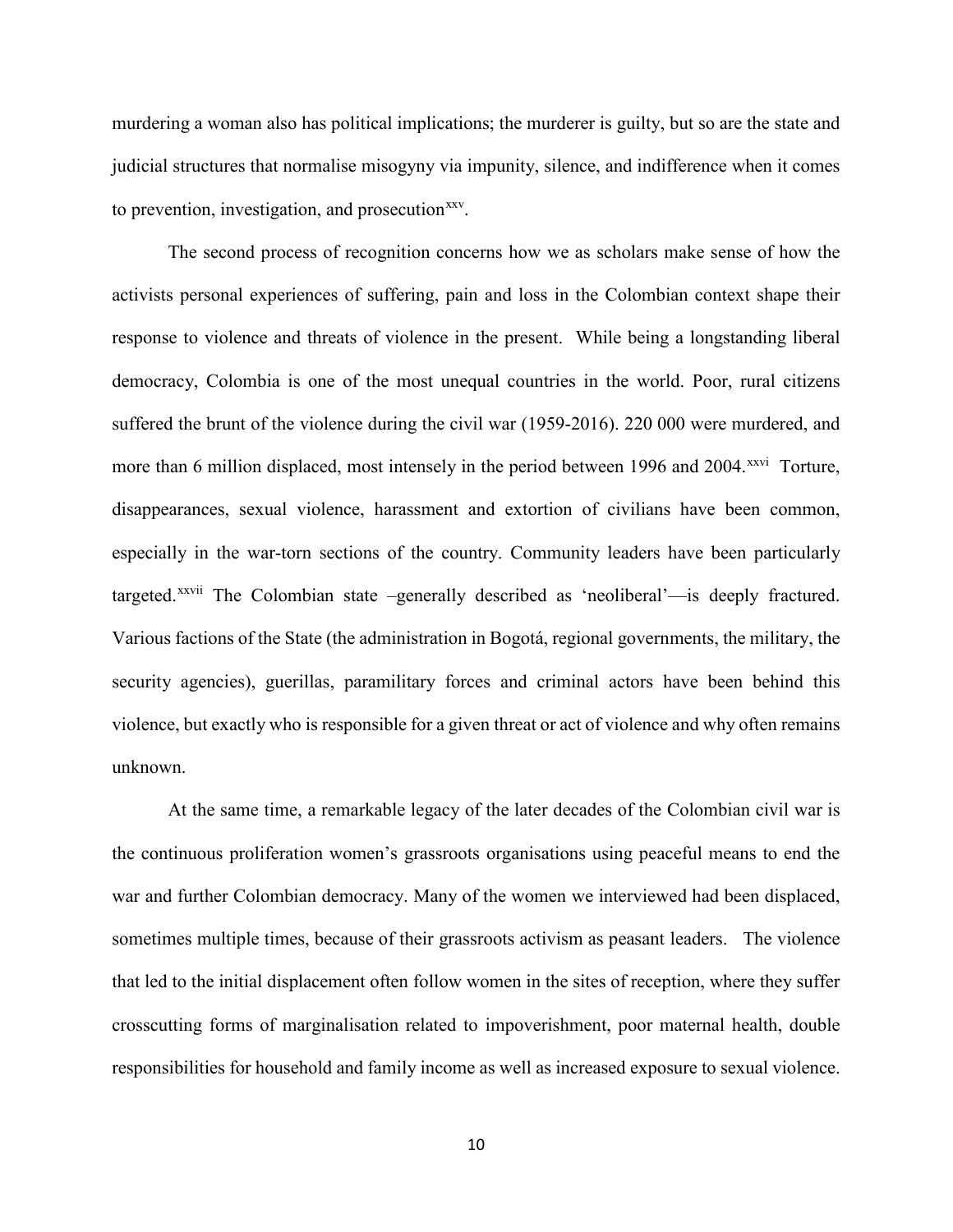murdering a woman also has political implications; the murderer is guilty, but so are the state and judicial structures that normalise misogyny via impunity, silence, and indifference when it comes to prevention, investigation, and prosecution $xxy$ .

The second process of recognition concerns how we as scholars make sense of how the activists personal experiences of suffering, pain and loss in the Colombian context shape their response to violence and threats of violence in the present. While being a longstanding liberal democracy, Colombia is one of the most unequal countries in the world. Poor, rural citizens suffered the brunt of the violence during the civil war (1959-2016). 220 000 were murdered, and more than 6 million displaced, most intensely in the period between 1996 and 2004.<sup>[xxvi](#page-30-10)</sup> Torture, targeted.<sup>xxvii</sup> The Colombian state -generally described as 'neoliberal'—is deeply fractured. disappearances, sexual violence, harassment and extortion of civilians have been common, especially in the war-torn sections of the country. Community leaders have been particularly Various factions of the State (the administration in Bogotá, regional governments, the military, the security agencies), guerillas, paramilitary forces and criminal actors have been behind this violence, but exactly who is responsible for a given threat or act of violence and why often remains unknown.

At the same time, a remarkable legacy of the later decades of the Colombian civil war is the continuous proliferation women's grassroots organisations using peaceful means to end the war and further Colombian democracy. Many of the women we interviewed had been displaced, sometimes multiple times, because of their grassroots activism as peasant leaders. The violence that led to the initial displacement often follow women in the sites of reception, where they suffer crosscutting forms of marginalisation related to impoverishment, poor maternal health, double responsibilities for household and family income as well as increased exposure to sexual violence.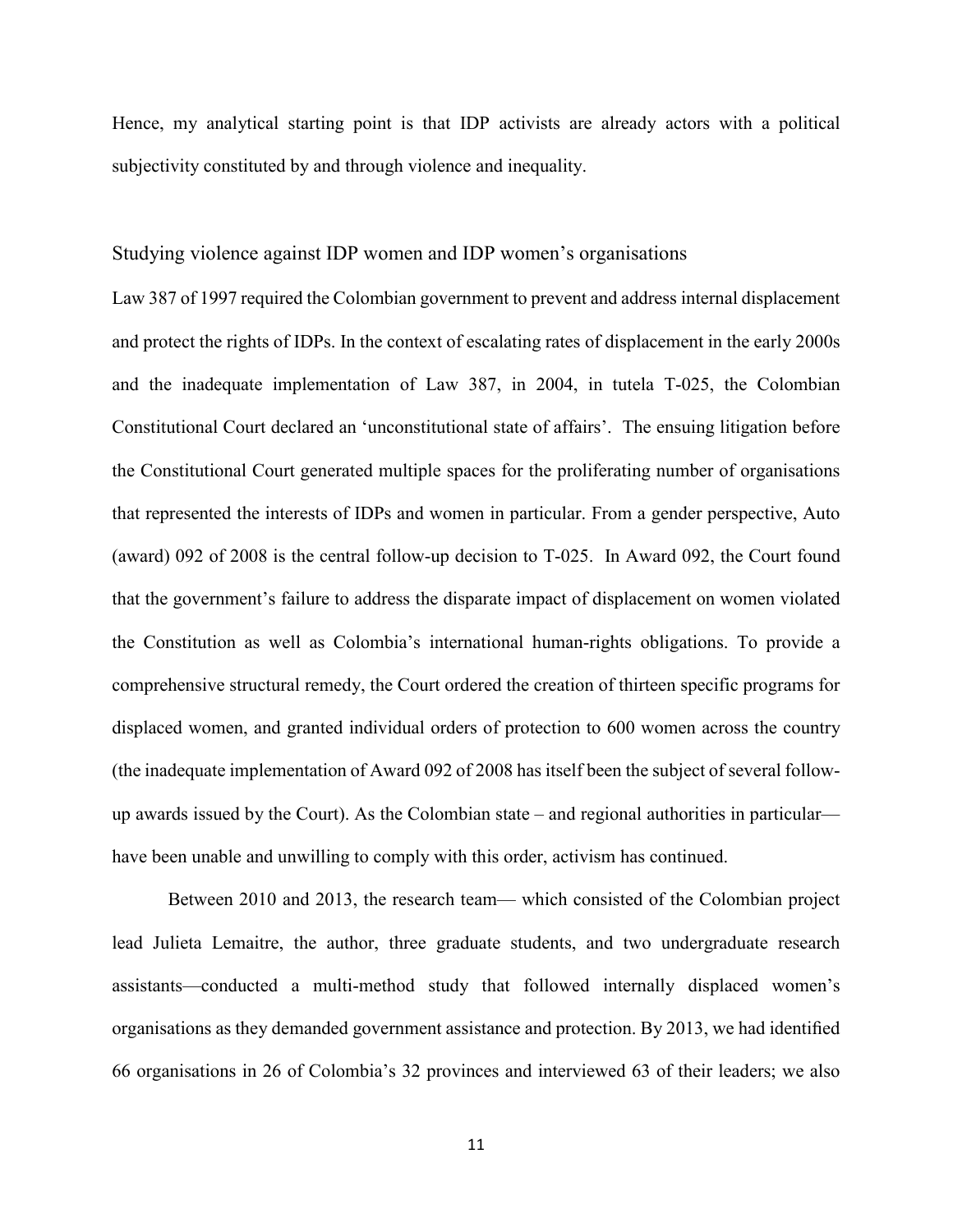Hence, my analytical starting point is that IDP activists are already actors with a political subjectivity constituted by and through violence and inequality.

#### Studying violence against IDP women and IDP women's organisations

Law 387 of 1997 required the Colombian government to prevent and address internal displacement and protect the rights of IDPs. In the context of escalating rates of displacement in the early 2000s and the inadequate implementation of Law 387, in 2004, in tutela T-025, the Colombian Constitutional Court declared an 'unconstitutional state of affairs'. The ensuing litigation before the Constitutional Court generated multiple spaces for the proliferating number of organisations that represented the interests of IDPs and women in particular. From a gender perspective, Auto (award) 092 of 2008 is the central follow-up decision to T-025. In Award 092, the Court found that the government's failure to address the disparate impact of displacement on women violated the Constitution as well as Colombia's international human-rights obligations. To provide a comprehensive structural remedy, the Court ordered the creation of thirteen specific programs for displaced women, and granted individual orders of protection to 600 women across the country (the inadequate implementation of Award 092 of 2008 has itself been the subject of several followup awards issued by the Court). As the Colombian state – and regional authorities in particular have been unable and unwilling to comply with this order, activism has continued.

Between 2010 and 2013, the research team— which consisted of the Colombian project lead Julieta Lemaitre, the author, three graduate students, and two undergraduate research assistants—conducted a multi-method study that followed internally displaced women's organisations as they demanded government assistance and protection. By 2013, we had identified 66 organisations in 26 of Colombia's 32 provinces and interviewed 63 of their leaders; we also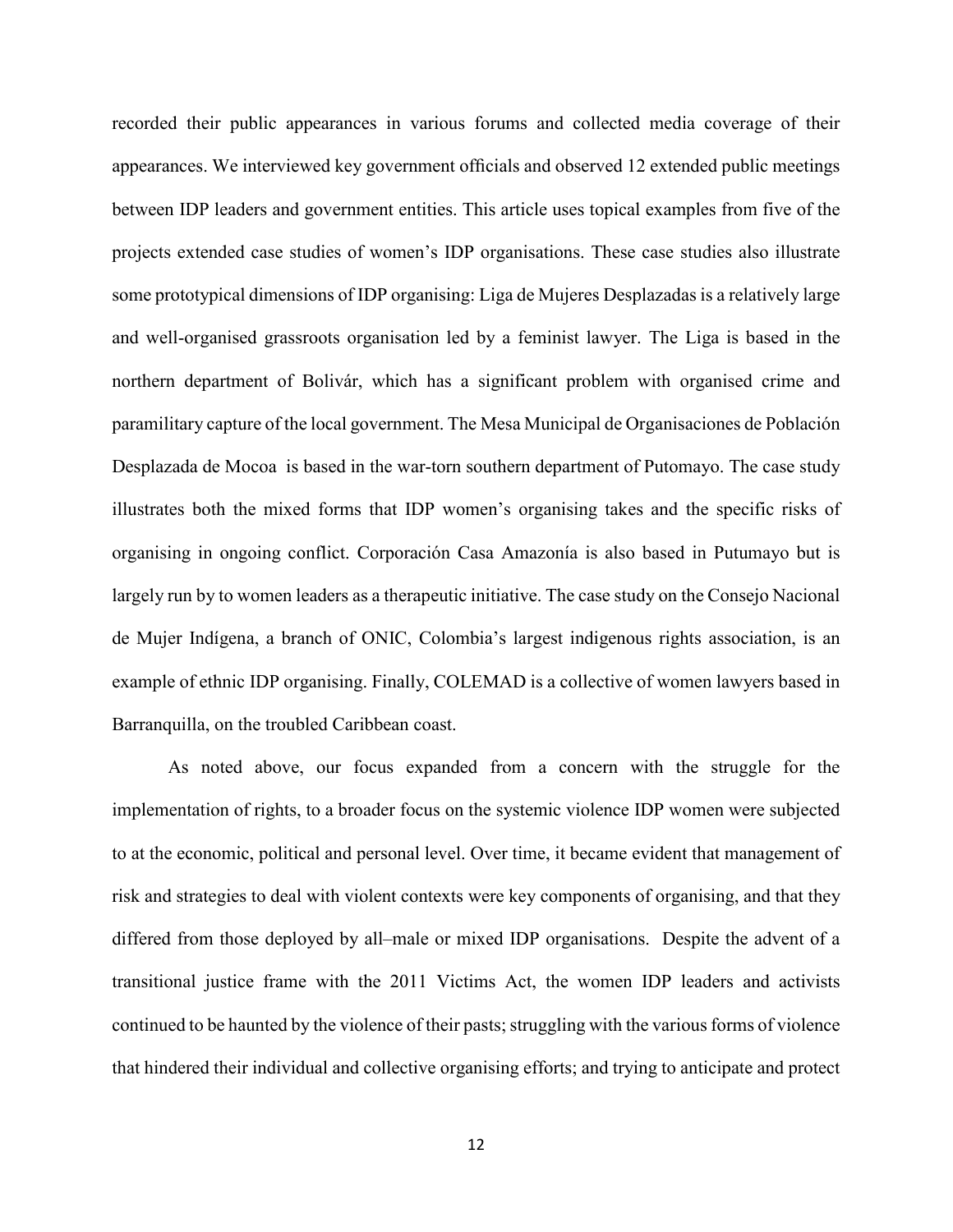recorded their public appearances in various forums and collected media coverage of their appearances. We interviewed key government officials and observed 12 extended public meetings between IDP leaders and government entities. This article uses topical examples from five of the projects extended case studies of women's IDP organisations. These case studies also illustrate some prototypical dimensions of IDP organising: Liga de Mujeres Desplazadas is a relatively large and well-organised grassroots organisation led by a feminist lawyer. The Liga is based in the northern department of Bolivár, which has a significant problem with organised crime and paramilitary capture of the local government. The Mesa Municipal de Organisaciones de Población Desplazada de Mocoa is based in the war-torn southern department of Putomayo. The case study illustrates both the mixed forms that IDP women's organising takes and the specific risks of organising in ongoing conflict. Corporación Casa Amazonía is also based in Putumayo but is largely run by to women leaders as a therapeutic initiative. The case study on the Consejo Nacional de Mujer Indígena, a branch of ONIC, Colombia's largest indigenous rights association, is an example of ethnic IDP organising. Finally, COLEMAD is a collective of women lawyers based in Barranquilla, on the troubled Caribbean coast.

As noted above, our focus expanded from a concern with the struggle for the implementation of rights, to a broader focus on the systemic violence IDP women were subjected to at the economic, political and personal level. Over time, it became evident that management of risk and strategies to deal with violent contexts were key components of organising, and that they differed from those deployed by all–male or mixed IDP organisations. Despite the advent of a transitional justice frame with the 2011 Victims Act, the women IDP leaders and activists continued to be haunted by the violence of their pasts; struggling with the various forms of violence that hindered their individual and collective organising efforts; and trying to anticipate and protect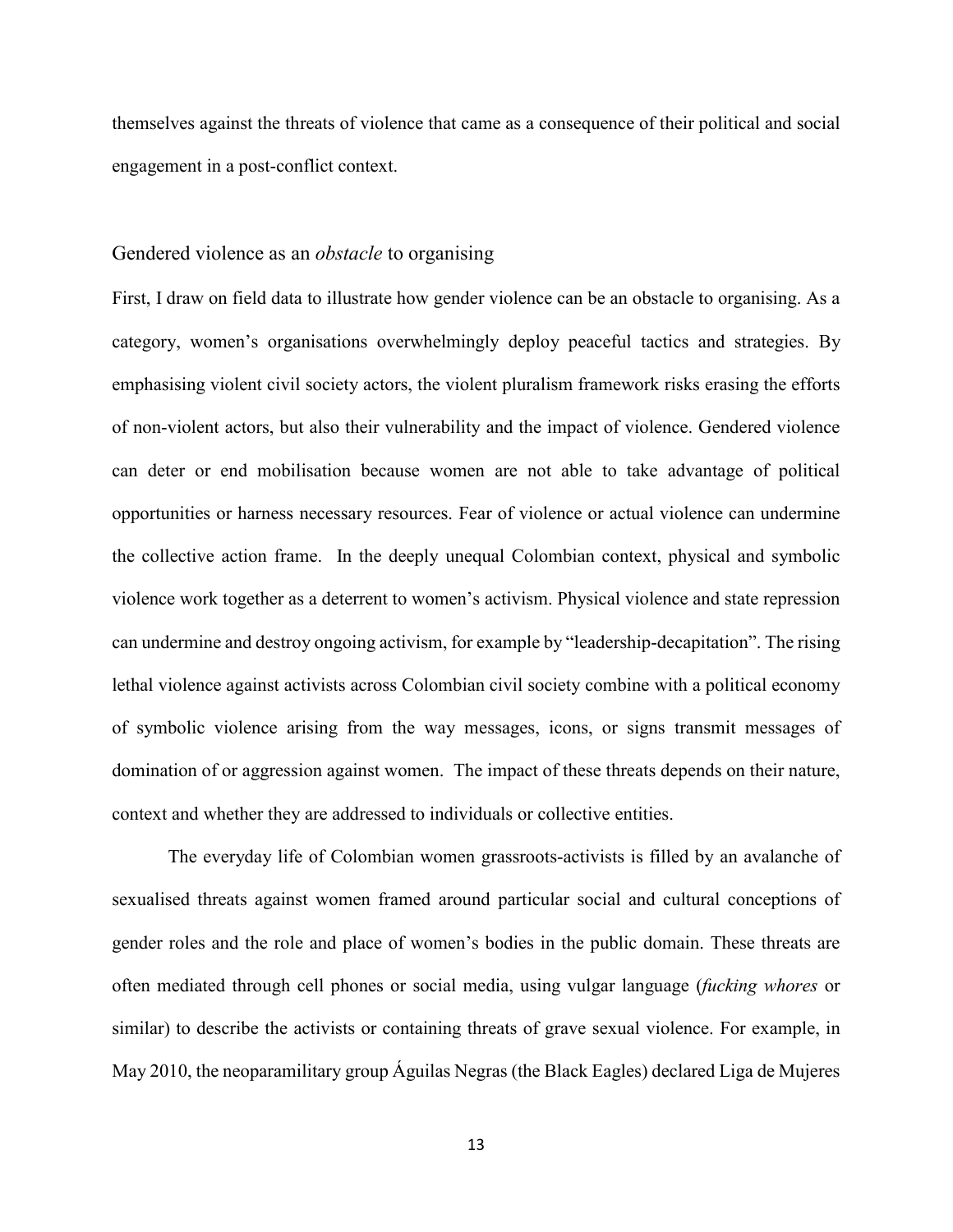themselves against the threats of violence that came as a consequence of their political and social engagement in a post-conflict context.

# Gendered violence as an *obstacle* to organising

First, I draw on field data to illustrate how gender violence can be an obstacle to organising. As a category, women's organisations overwhelmingly deploy peaceful tactics and strategies. By emphasising violent civil society actors, the violent pluralism framework risks erasing the efforts of non-violent actors, but also their vulnerability and the impact of violence. Gendered violence can deter or end mobilisation because women are not able to take advantage of political opportunities or harness necessary resources. Fear of violence or actual violence can undermine the collective action frame. In the deeply unequal Colombian context, physical and symbolic violence work together as a deterrent to women's activism. Physical violence and state repression can undermine and destroy ongoing activism, for example by "leadership-decapitation". The rising lethal violence against activists across Colombian civil society combine with a political economy of symbolic violence arising from the way messages, icons, or signs transmit messages of domination of or aggression against women. The impact of these threats depends on their nature, context and whether they are addressed to individuals or collective entities.

The everyday life of Colombian women grassroots-activists is filled by an avalanche of sexualised threats against women framed around particular social and cultural conceptions of gender roles and the role and place of women's bodies in the public domain. These threats are often mediated through cell phones or social media, using vulgar language (*fucking whores* or similar) to describe the activists or containing threats of grave sexual violence. For example, in May 2010, the neoparamilitary group Águilas Negras (the Black Eagles) declared Liga de Mujeres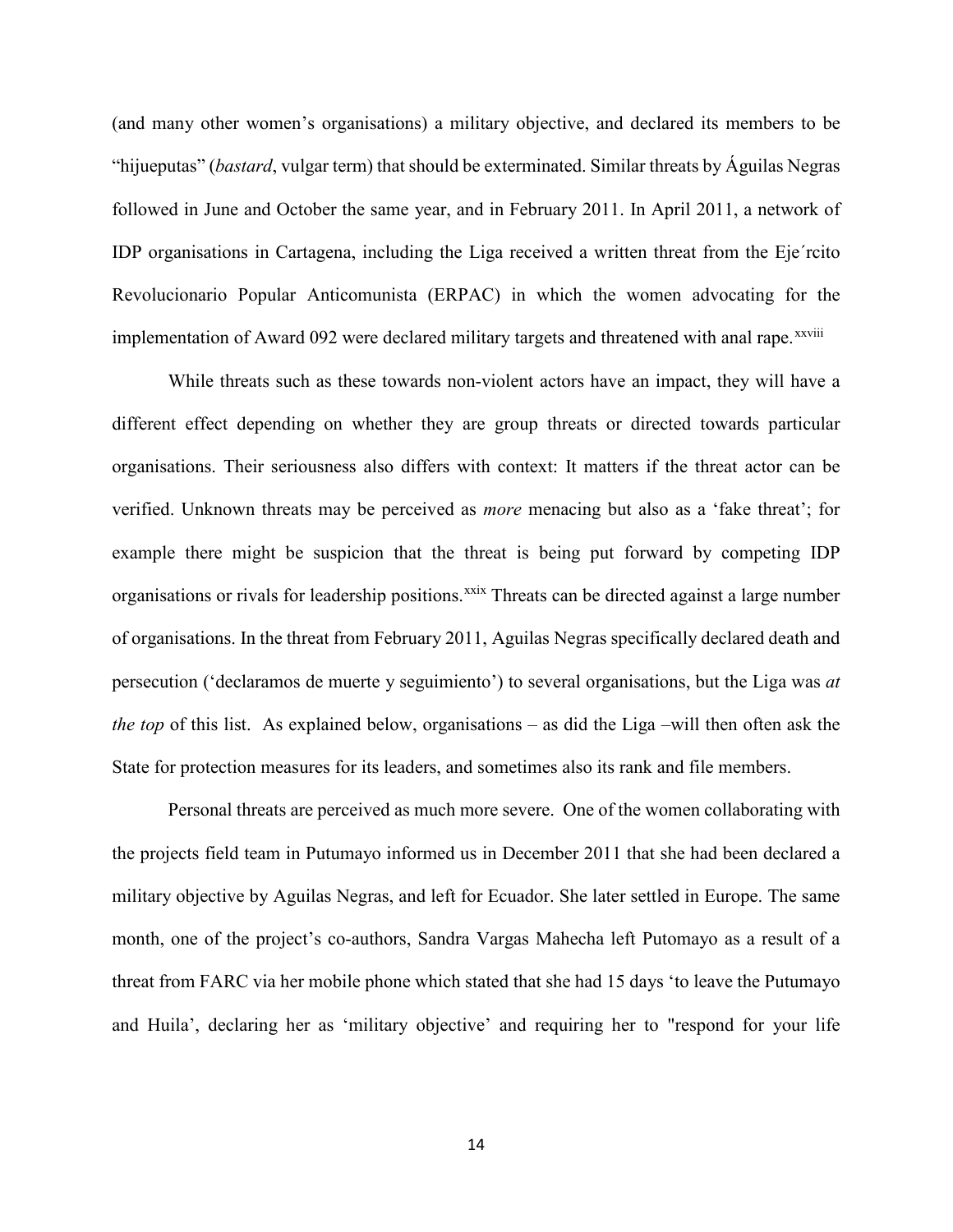(and many other women's organisations) a military objective, and declared its members to be "hijueputas" (*bastard*, vulgar term) that should be exterminated. Similar threats by Águilas Negras followed in June and October the same year, and in February 2011. In April 2011, a network of IDP organisations in Cartagena, including the Liga received a written threat from the Eje´rcito Revolucionario Popular Anticomunista (ERPAC) in which the women advocating for the [i](#page-30-11)mplementation of Award 092 were declared military targets and threatened with anal rape.<sup>xxviii</sup>

While threats such as these towards non-violent actors have an impact, they will have a different effect depending on whether they are group threats or directed towards particular organisations. Their seriousness also differs with context: It matters if the threat actor can be verified. Unknown threats may be perceived as *more* menacing but also as a 'fake threat'; for example there might be suspicion that the threat is being put forward by competing IDP organisations or rivals for leadership positions.<sup>[xxix](#page-30-12)</sup> Threats can be directed against a large number of organisations. In the threat from February 2011, Aguilas Negras specifically declared death and persecution ('declaramos de muerte y seguimiento') to several organisations, but the Liga was *at the top* of this list. As explained below, organisations – as did the Liga –will then often ask the State for protection measures for its leaders, and sometimes also its rank and file members.

Personal threats are perceived as much more severe. One of the women collaborating with the projects field team in Putumayo informed us in December 2011 that she had been declared a military objective by Aguilas Negras, and left for Ecuador. She later settled in Europe. The same month, one of the project's co-authors, Sandra Vargas Mahecha left Putomayo as a result of a threat from FARC via her mobile phone which stated that she had 15 days 'to leave the Putumayo and Huila', declaring her as 'military objective' and requiring her to "respond for your life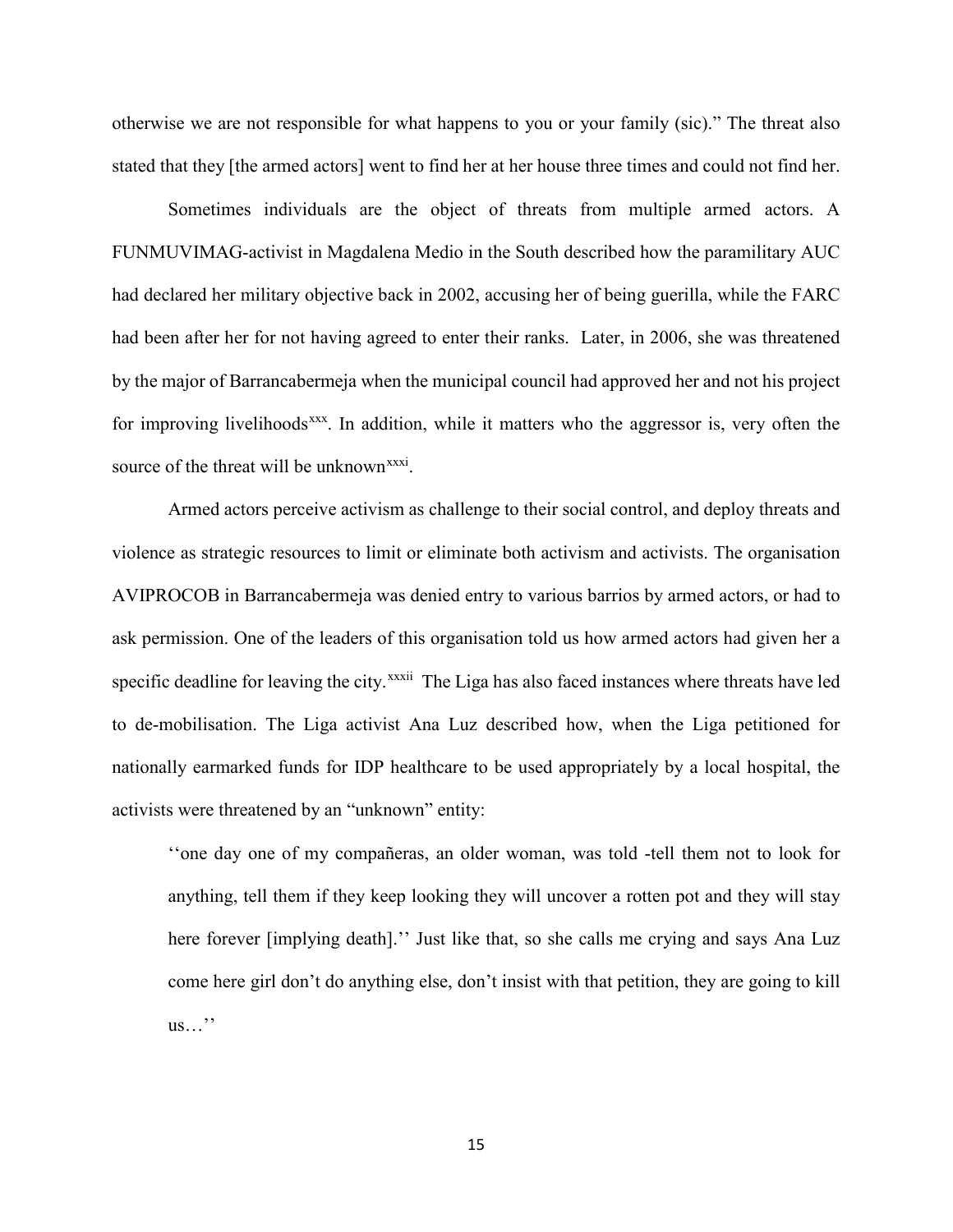otherwise we are not responsible for what happens to you or your family (sic)." The threat also stated that they [the armed actors] went to find her at her house three times and could not find her.

Sometimes individuals are the object of threats from multiple armed actors. A FUNMUVIMAG-activist in Magdalena Medio in the South described how the paramilitary AUC had declared her military objective back in 2002, accusing her of being guerilla, while the FARC had been after her for not having agreed to enter their ranks. Later, in 2006, she was threatened by the major of Barrancabermeja when the municipal council had approved her and not his project for improving livelihoods<sup>[xxx](#page-30-13)</sup>. In addition, while it matters who the aggressor is, very often the source of the threat will be unknown<sup>xxxi</sup>.

Armed actors perceive activism as challenge to their social control, and deploy threats and violence as strategic resources to limit or eliminate both activism and activists. The organisation AVIPROCOB in Barrancabermeja was denied entry to various barrios by armed actors, or had to ask permission. One of the leaders of this organisation told us how armed actors had given her a specificdeadline for leaving the city.<sup>xxxii</sup> The Liga has also faced instances where threats have led to de-mobilisation. The Liga activist Ana Luz described how, when the Liga petitioned for nationally earmarked funds for IDP healthcare to be used appropriately by a local hospital, the activists were threatened by an "unknown" entity:

''one day one of my compañeras, an older woman, was told -tell them not to look for anything, tell them if they keep looking they will uncover a rotten pot and they will stay here forever [implying death]." Just like that, so she calls me crying and says Ana Luz come here girl don't do anything else, don't insist with that petition, they are going to kill us…''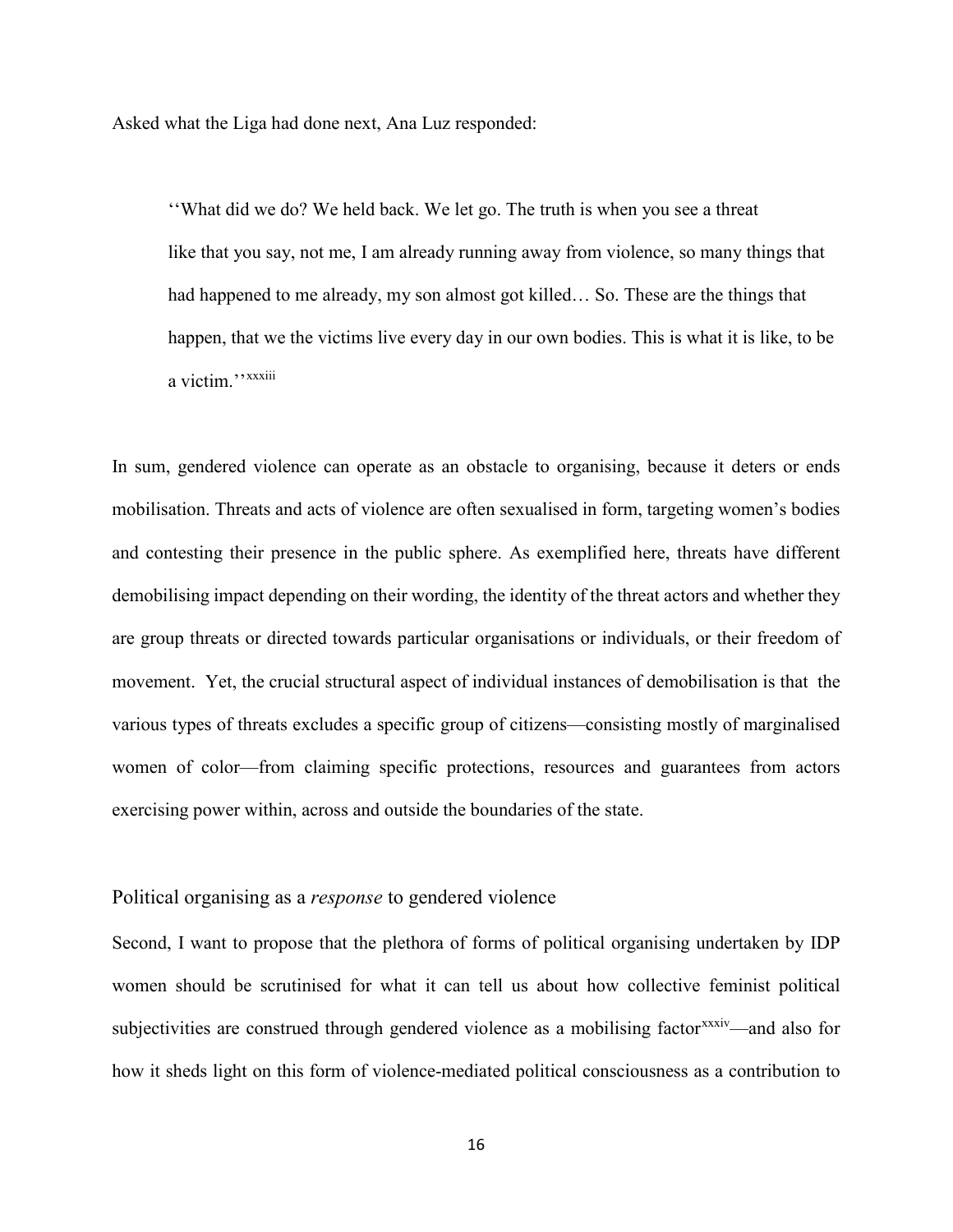Asked what the Liga had done next, Ana Luz responded:

''What did we do? We held back. We let go. The truth is when you see a threat like that you say, not me, I am already running away from violence, so many things that had happened to me already, my son almost got killed… So. These are the things that happen, that we the victims live every day in our own bodies. This is what it is like, to be a v[i](#page-30-16)ctim." xxxiii

In sum, gendered violence can operate as an obstacle to organising, because it deters or ends mobilisation. Threats and acts of violence are often sexualised in form, targeting women's bodies and contesting their presence in the public sphere. As exemplified here, threats have different demobilising impact depending on their wording, the identity of the threat actors and whether they are group threats or directed towards particular organisations or individuals, or their freedom of movement. Yet, the crucial structural aspect of individual instances of demobilisation is that the various types of threats excludes a specific group of citizens—consisting mostly of marginalised women of color—from claiming specific protections, resources and guarantees from actors exercising power within, across and outside the boundaries of the state.

# Political organising as a *response* to gendered violence

Second, I want to propose that the plethora of forms of political organising undertaken by IDP women should be scrutinised for what it can tell us about how collective feminist political subjectivities are construed through gendered violence as a mobilising factor<sup>xxxiv</sup>—and also for how it sheds light on this form of violence-mediated political consciousness as a contribution to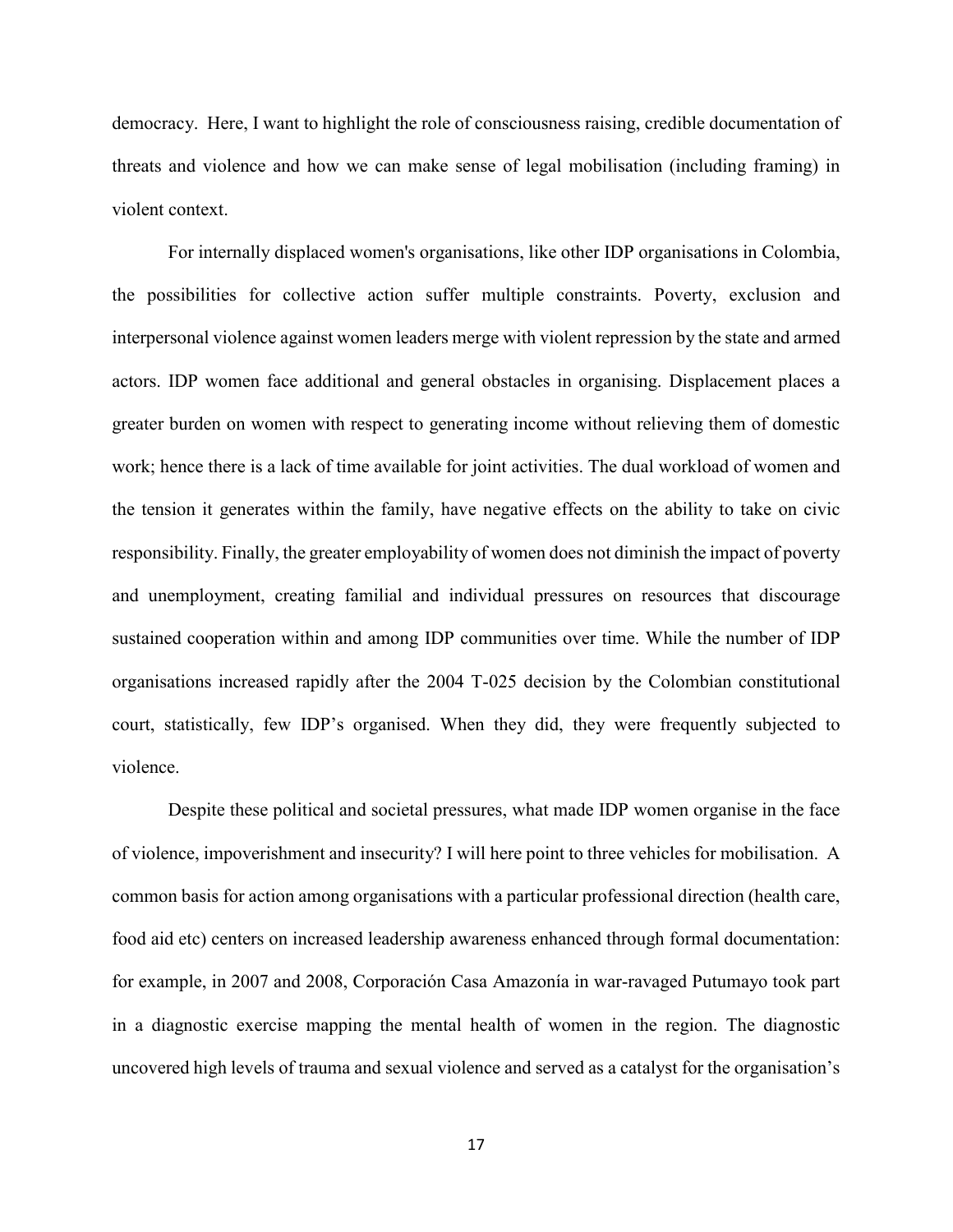democracy. Here, I want to highlight the role of consciousness raising, credible documentation of threats and violence and how we can make sense of legal mobilisation (including framing) in violent context.

For internally displaced women's organisations, like other IDP organisations in Colombia, the possibilities for collective action suffer multiple constraints. Poverty, exclusion and interpersonal violence against women leaders merge with violent repression by the state and armed actors. IDP women face additional and general obstacles in organising. Displacement places a greater burden on women with respect to generating income without relieving them of domestic work; hence there is a lack of time available for joint activities. The dual workload of women and the tension it generates within the family, have negative effects on the ability to take on civic responsibility. Finally, the greater employability of women does not diminish the impact of poverty and unemployment, creating familial and individual pressures on resources that discourage sustained cooperation within and among IDP communities over time. While the number of IDP organisations increased rapidly after the 2004 T-025 decision by the Colombian constitutional court, statistically, few IDP's organised. When they did, they were frequently subjected to violence.

Despite these political and societal pressures, what made IDP women organise in the face of violence, impoverishment and insecurity? I will here point to three vehicles for mobilisation. A common basis for action among organisations with a particular professional direction (health care, food aid etc) centers on increased leadership awareness enhanced through formal documentation: for example, in 2007 and 2008, Corporación Casa Amazonía in war-ravaged Putumayo took part in a diagnostic exercise mapping the mental health of women in the region. The diagnostic uncovered high levels of trauma and sexual violence and served as a catalyst for the organisation's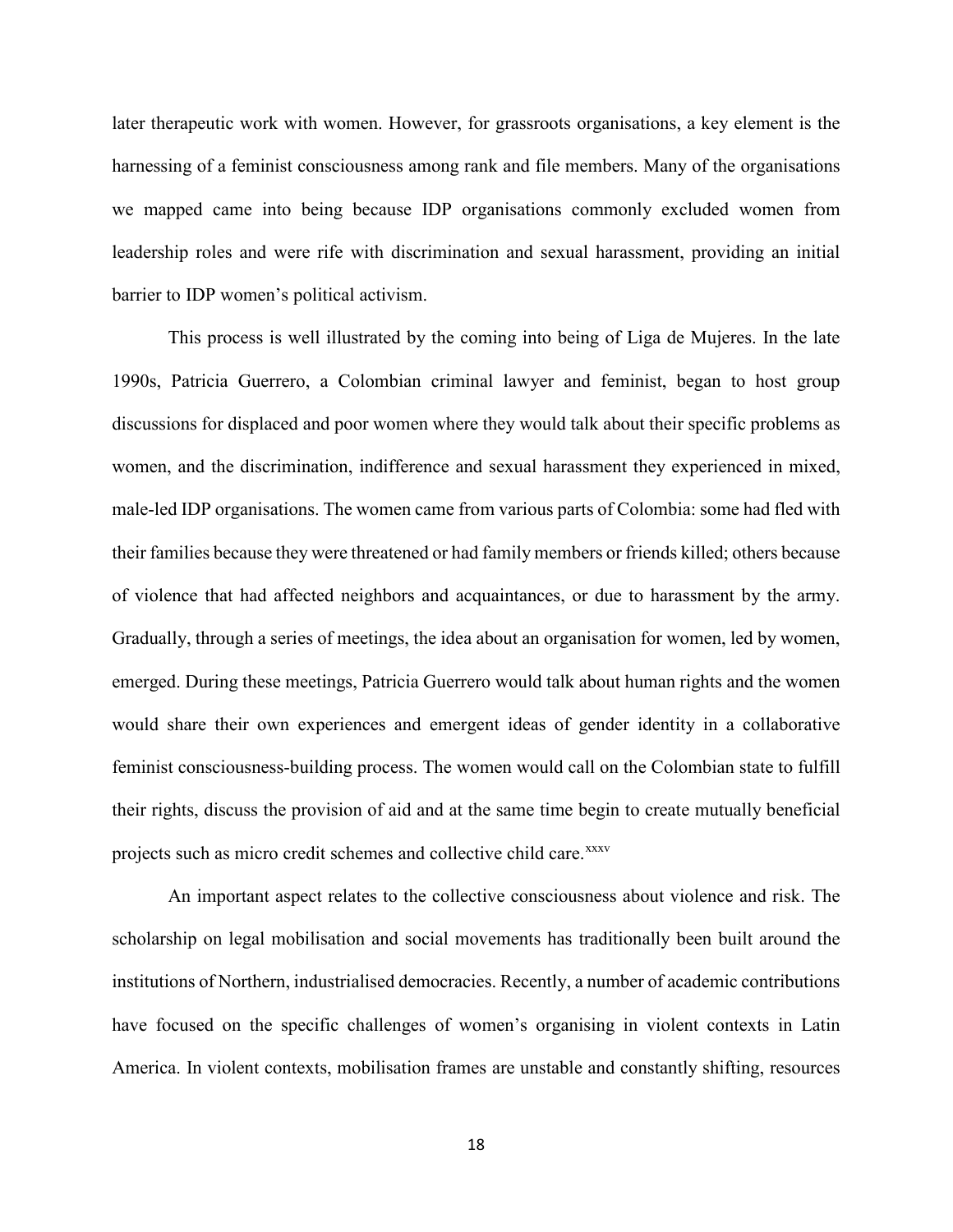later therapeutic work with women. However, for grassroots organisations, a key element is the harnessing of a feminist consciousness among rank and file members. Many of the organisations we mapped came into being because IDP organisations commonly excluded women from leadership roles and were rife with discrimination and sexual harassment, providing an initial barrier to IDP women's political activism.

This process is well illustrated by the coming into being of Liga de Mujeres. In the late 1990s, Patricia Guerrero, a Colombian criminal lawyer and feminist, began to host group discussions for displaced and poor women where they would talk about their specific problems as women, and the discrimination, indifference and sexual harassment they experienced in mixed, male-led IDP organisations. The women came from various parts of Colombia: some had fled with their families because they were threatened or had family members or friends killed; others because of violence that had affected neighbors and acquaintances, or due to harassment by the army. Gradually, through a series of meetings, the idea about an organisation for women, led by women, emerged. During these meetings, Patricia Guerrero would talk about human rights and the women would share their own experiences and emergent ideas of gender identity in a collaborative feminist consciousness-building process. The women would call on the Colombian state to fulfill their rights, discuss the provision of aid and at the same time begin to create mutually beneficial projects such as micro credit schemes and collective child care.<sup>[xxxv](#page-31-0)</sup>

An important aspect relates to the collective consciousness about violence and risk. The scholarship on legal mobilisation and social movements has traditionally been built around the institutions of Northern, industrialised democracies. Recently, a number of academic contributions have focused on the specific challenges of women's organising in violent contexts in Latin America. In violent contexts, mobilisation frames are unstable and constantly shifting, resources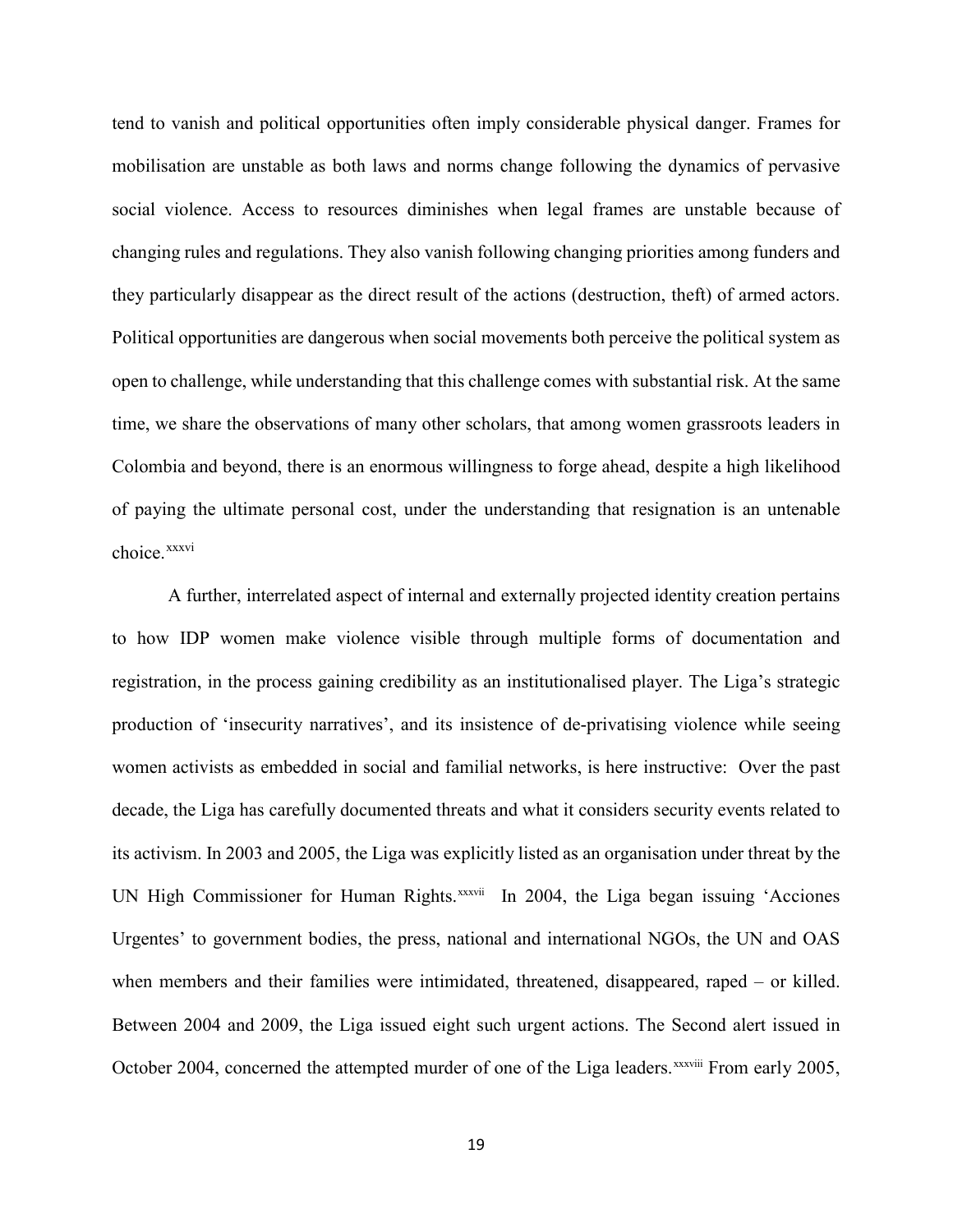tend to vanish and political opportunities often imply considerable physical danger. Frames for mobilisation are unstable as both laws and norms change following the dynamics of pervasive social violence. Access to resources diminishes when legal frames are unstable because of changing rules and regulations. They also vanish following changing priorities among funders and they particularly disappear as the direct result of the actions (destruction, theft) of armed actors. Political opportunities are dangerous when social movements both perceive the political system as open to challenge, while understanding that this challenge comes with substantial risk. At the same time, we share the observations of many other scholars, that among women grassroots leaders in Colombia and beyond, there is an enormous willingness to forge ahead, despite a high likelihood of paying the ultimate personal cost, under the understanding that resignation is an untenable choice.<sup>xxxvi</sup>

A further, interrelated aspect of internal and externally projected identity creation pertains to how IDP women make violence visible through multiple forms of documentation and registration, in the process gaining credibility as an institutionalised player. The Liga's strategic production of 'insecurity narratives', and its insistence of de-privatising violence while seeing women activists as embedded in social and familial networks, is here instructive: Over the past decade, the Liga has carefully documented threats and what it considers security events related to its activism. In 2003 and 2005, the Liga was explicitly listed as an organisation under threat by the UNHigh Commissioner for Human Rights.<sup>xxxvii</sup> In 2004, the Liga began issuing 'Acciones October 2004, concerned the attempted murder of one of the Liga leaders. XXXViii From early 2005, Urgentes' to government bodies, the press, national and international NGOs, the UN and OAS when members and their families were intimidated, threatened, disappeared, raped – or killed. Between 2004 and 2009, the Liga issued eight such urgent actions. The Second alert issued in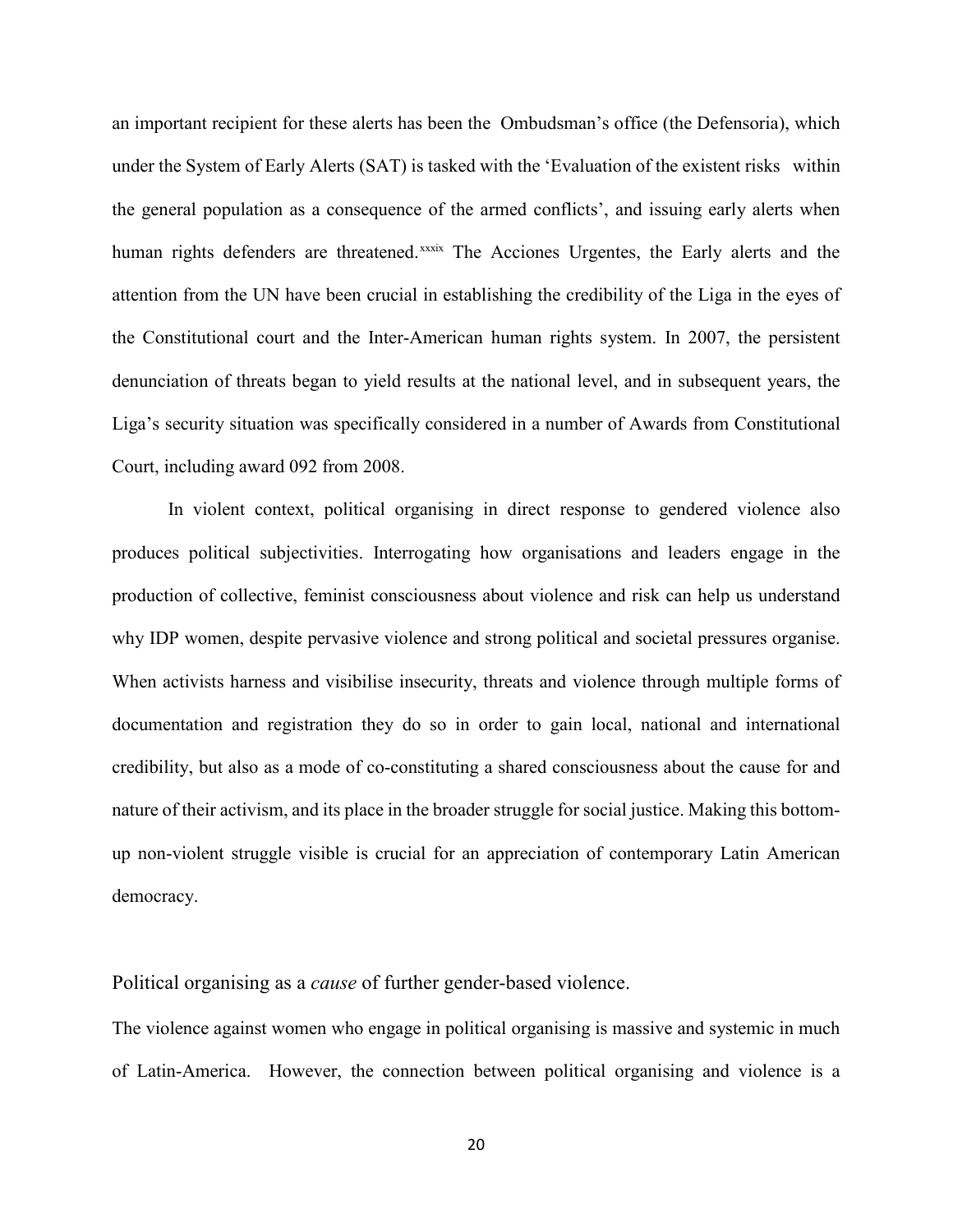an important recipient for these alerts has been the Ombudsman's office (the Defensoria), which under the System of Early Alerts (SAT) is tasked with the 'Evaluation of the existent risks within the general population as a consequence of the armed conflicts', and issuing early alerts when human rights defenders are threatened.<sup>[x](#page-31-2)xxix</sup> The Acciones Urgentes, the Early alerts and the attention from the UN have been crucial in establishing the credibility of the Liga in the eyes of the Constitutional court and the Inter-American human rights system. In 2007, the persistent denunciation of threats began to yield results at the national level, and in subsequent years, the Liga's security situation was specifically considered in a number of Awards from Constitutional Court, including award 092 from 2008.

In violent context, political organising in direct response to gendered violence also produces political subjectivities. Interrogating how organisations and leaders engage in the production of collective, feminist consciousness about violence and risk can help us understand why IDP women, despite pervasive violence and strong political and societal pressures organise. When activists harness and visibilise insecurity, threats and violence through multiple forms of documentation and registration they do so in order to gain local, national and international credibility, but also as a mode of co-constituting a shared consciousness about the cause for and nature of their activism, and its place in the broader struggle for social justice. Making this bottomup non-violent struggle visible is crucial for an appreciation of contemporary Latin American democracy.

Political organising as a *cause* of further gender-based violence.

The violence against women who engage in political organising is massive and systemic in much of Latin-America. However, the connection between political organising and violence is a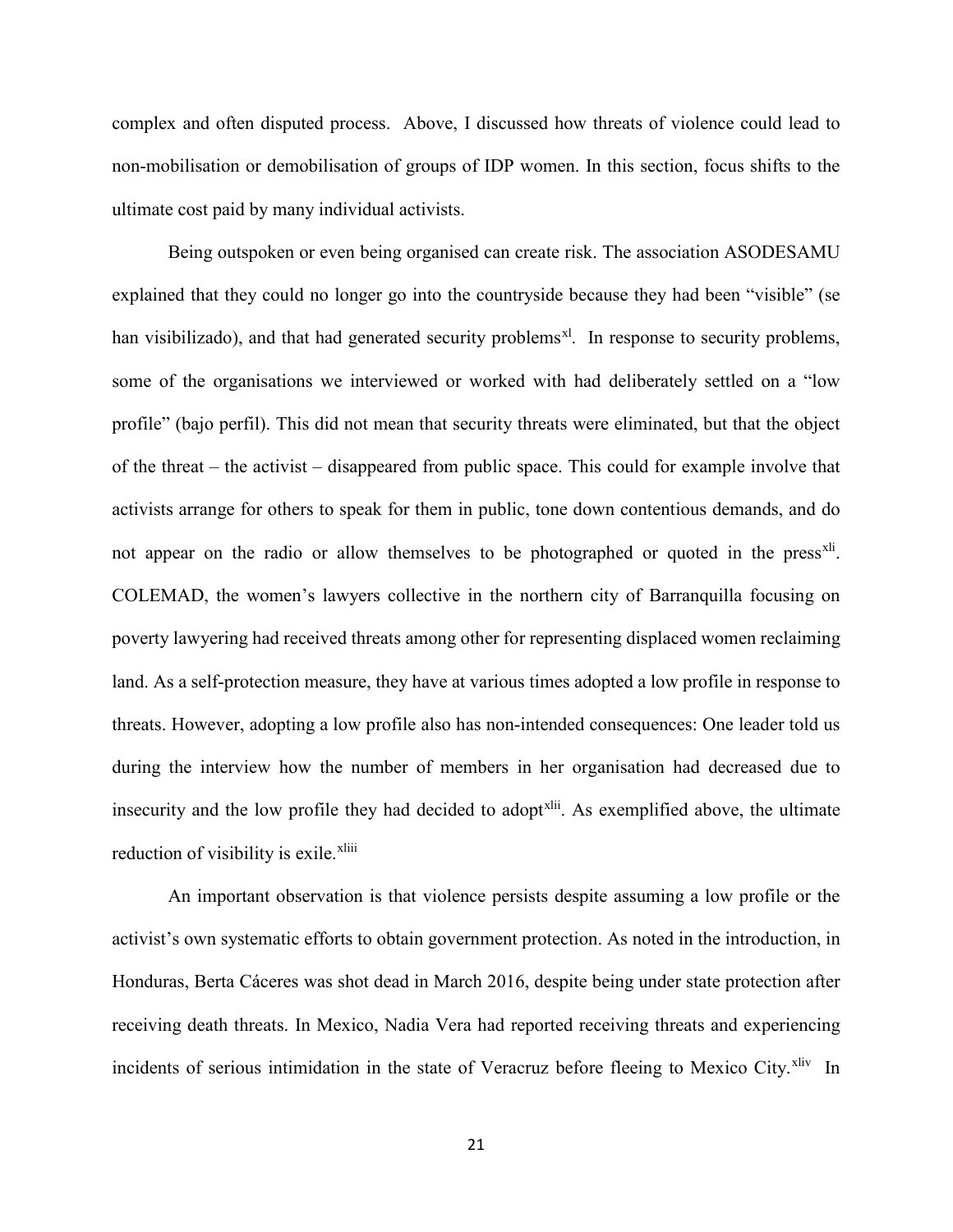complex and often disputed process. Above, I discussed how threats of violence could lead to non-mobilisation or demobilisation of groups of IDP women. In this section, focus shifts to the ultimate cost paid by many individual activists.

Being outspoken or even being organised can create risk. The association ASODESAMU explained that they could no longer go into the countryside because they had been "visible" (se han visibilizado), and that had generated security problems<sup>x1</sup>. In response to security problems, reductionof visibility is exile.<sup>xliii</sup> some of the organisations we interviewed or worked with had deliberately settled on a "low profile" (bajo perfil). This did not mean that security threats were eliminated, but that the object of the threat – the activist – disappeared from public space. This could for example involve that activists arrange for others to speak for them in public, tone down contentious demands, and do not appear on the radio or allow themselves to be photographed or quoted in the press<sup>[xli](#page-31-4)</sup>. COLEMAD, the women's lawyers collective in the northern city of Barranquilla focusing on poverty lawyering had received threats among other for representing displaced women reclaiming land. As a self-protection measure, they have at various times adopted a low profile in response to threats. However, adopting a low profile also has non-intended consequences: One leader told us during the interview how the number of members in her organisation had decreased due to insecurity and the low profile they had decided to adopt<sup>[xlii](#page-31-5)</sup>. As exemplified above, the ultimate

An important observation is that violence persists despite assuming a low profile or the activist's own systematic efforts to obtain government protection. As noted in the introduction, in Honduras, Berta Cáceres was shot dead in March 2016, despite being under state protection after receiving death threats. In Mexico, Nadia Vera had reported receiving threats and experiencing incidents of serious intimidation in the state of Veracruz before fleeing to Mexico City.<sup>[xliv](#page-31-7)</sup> In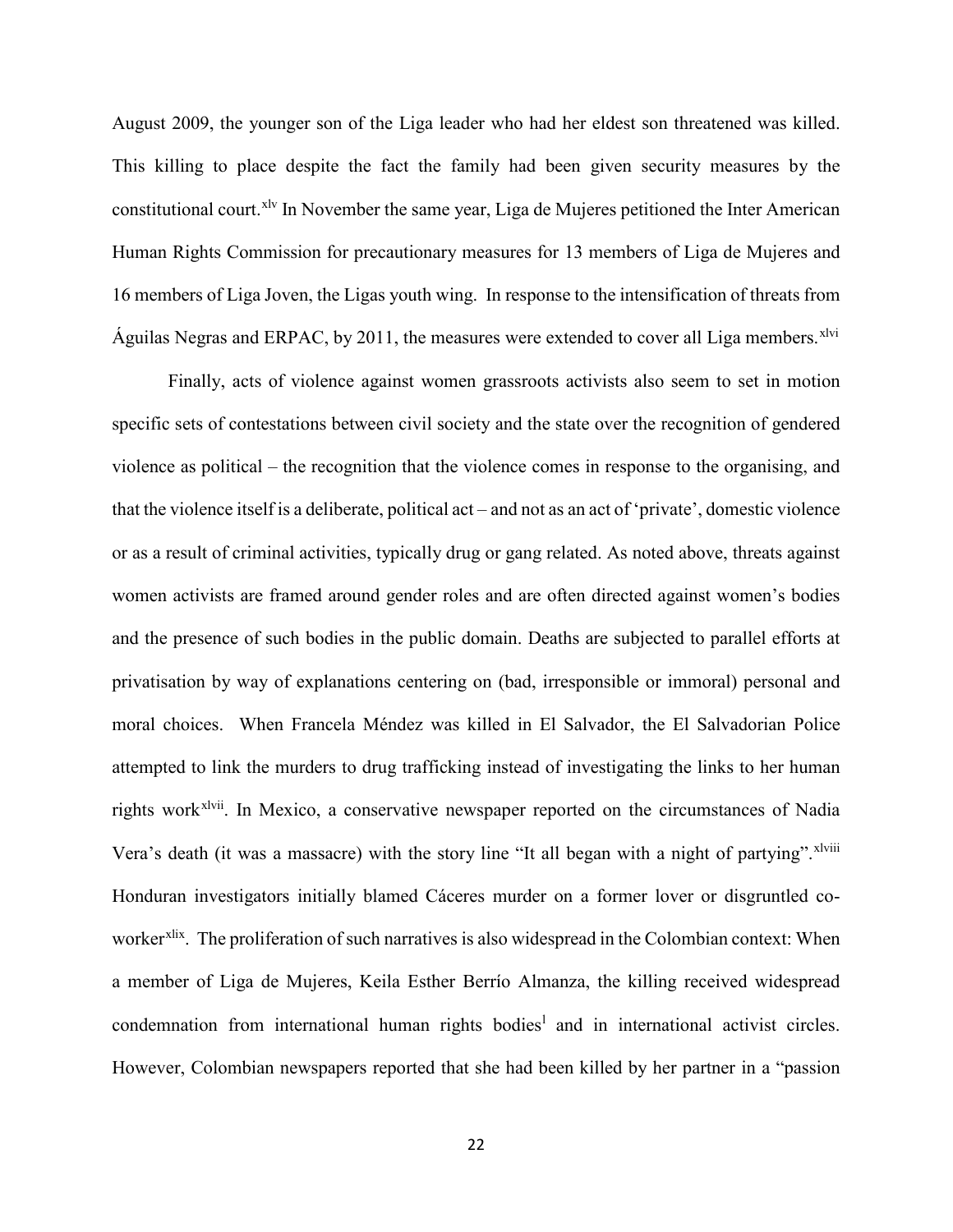August 2009, the younger son of the Liga leader who had her eldest son threatened was killed. This killing to place despite the fact the family had been given security measures by the constitutional court.<sup>[xlv](#page-31-8)</sup> In November the same year, Liga de Mujeres petitioned the Inter American Human Rights Commission for precautionary measures for 13 members of Liga de Mujeres and 16 members of Liga Joven, the Ligas youth wing. In response to the intensification of threats from Águilas Negras and ERPAC, by 2011, the measures were extended to cover all Liga members.<sup>[xlvi](#page-31-9)</sup>

Finally, acts of violence against women grassroots activists also seem to set in motion specific sets of contestations between civil society and the state over the recognition of gendered violence as political – the recognition that the violence comes in response to the organising, and that the violence itself is a deliberate, political act – and not as an act of 'private', domestic violence or as a result of criminal activities, typically drug or gang related. As noted above, threats against women activists are framed around gender roles and are often directed against women's bodies and the presence of such bodies in the public domain. Deaths are subjected to parallel efforts at privatisation by way of explanations centering on (bad, irresponsible or immoral) personal and moral choices. When Francela Méndez was killed in El Salvador, the El Salvadorian Police attempted to link the murders to drug trafficking instead of investigating the links to her human rights work<sup>xlvii</sup>. In Mexico, a conservative newspaper reported on the circumstances of Nadia Vera's death (it was a massacre) with the story line "It all began with a night of partying". xlviii Honduran investigators initially blamed Cáceres murder on a former lover or disgruntled coworker<sup>xlix</sup>. The proliferation of such narratives is also widespread in the Colombian context: When a member of Liga de Mujeres, Keila Esther Berrío Almanza, the killing received widespread condemnation from internationa[l](#page-31-11) human rights bodies<sup>1</sup> and in international activist circles. However, Colombian newspapers reported that she had been killed by her partner in a "passion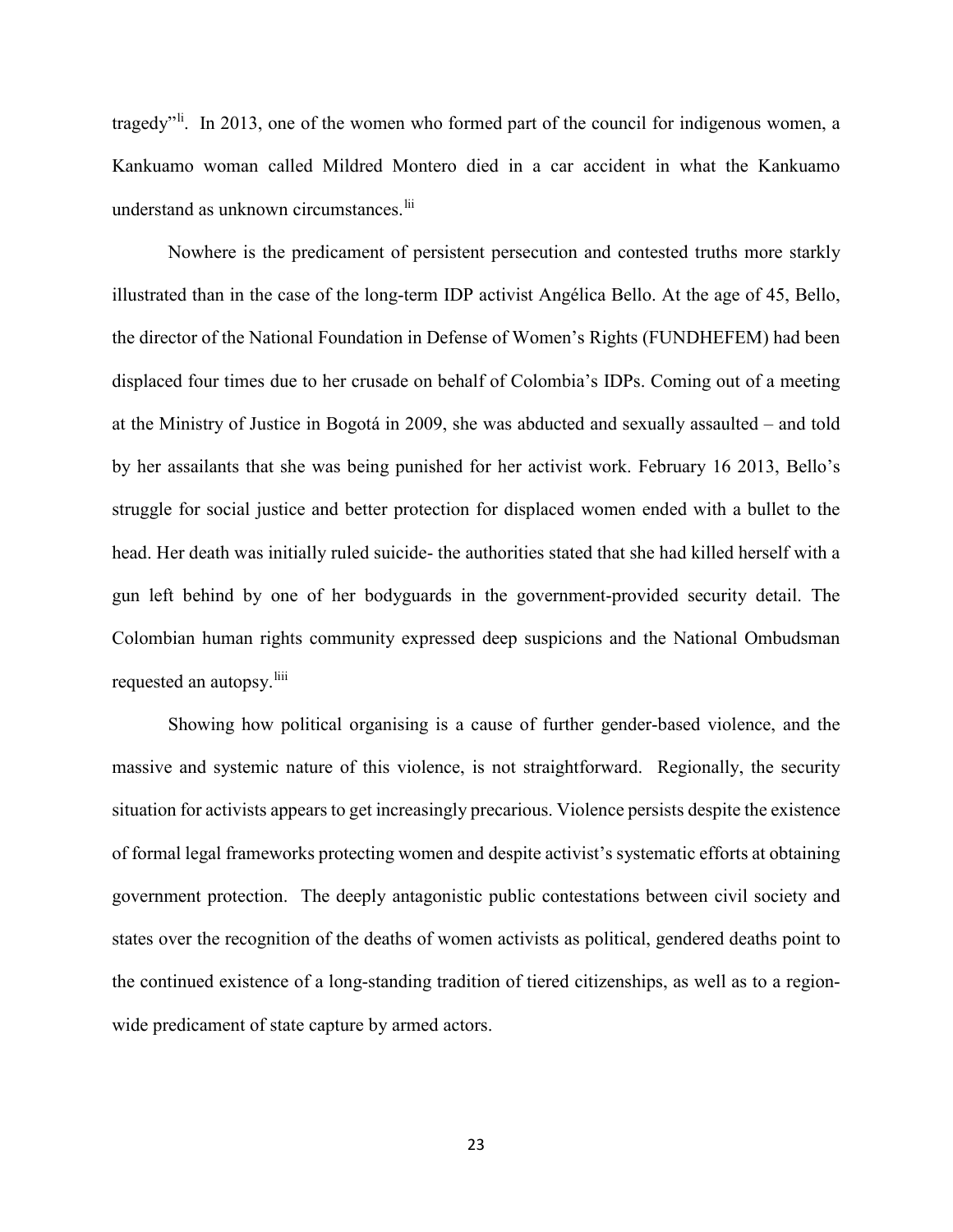tragedy"<sup>[li](#page-32-0)</sup>. In 2013, one of the women who formed part of the council for indigenous women, a Kankuamo woman called Mildred Montero died in a car accident in what the Kankuamo understand as unknown circumstances. [lii](#page-32-1)

Nowhere is the predicament of persistent persecution and contested truths more starkly illustrated than in the case of the long-term IDP activist Angélica Bello. At the age of 45, Bello, the director of the National Foundation in Defense of Women's Rights (FUNDHEFEM) had been displaced four times due to her crusade on behalf of Colombia's IDPs. Coming out of a meeting at the Ministry of Justice in Bogotá in 2009, she was abducted and sexually assaulted – and told by her assailants that she was being punished for her activist work. February 16 2013, Bello's struggle for social justice and better protection for displaced women ended with a bullet to the head. Her death was initially ruled suicide- the authorities stated that she had killed herself with a gun left behind by one of her bodyguards in the government-provided security detail. The Colombian human rights community expressed deep suspicions and the National Ombudsman requested an autopsy.<sup>[liii](#page-32-2)</sup>

Showing how political organising is a cause of further gender-based violence, and the massive and systemic nature of this violence, is not straightforward. Regionally, the security situation for activists appears to get increasingly precarious. Violence persists despite the existence of formal legal frameworks protecting women and despite activist's systematic efforts at obtaining government protection. The deeply antagonistic public contestations between civil society and states over the recognition of the deaths of women activists as political, gendered deaths point to the continued existence of a long-standing tradition of tiered citizenships, as well as to a regionwide predicament of state capture by armed actors.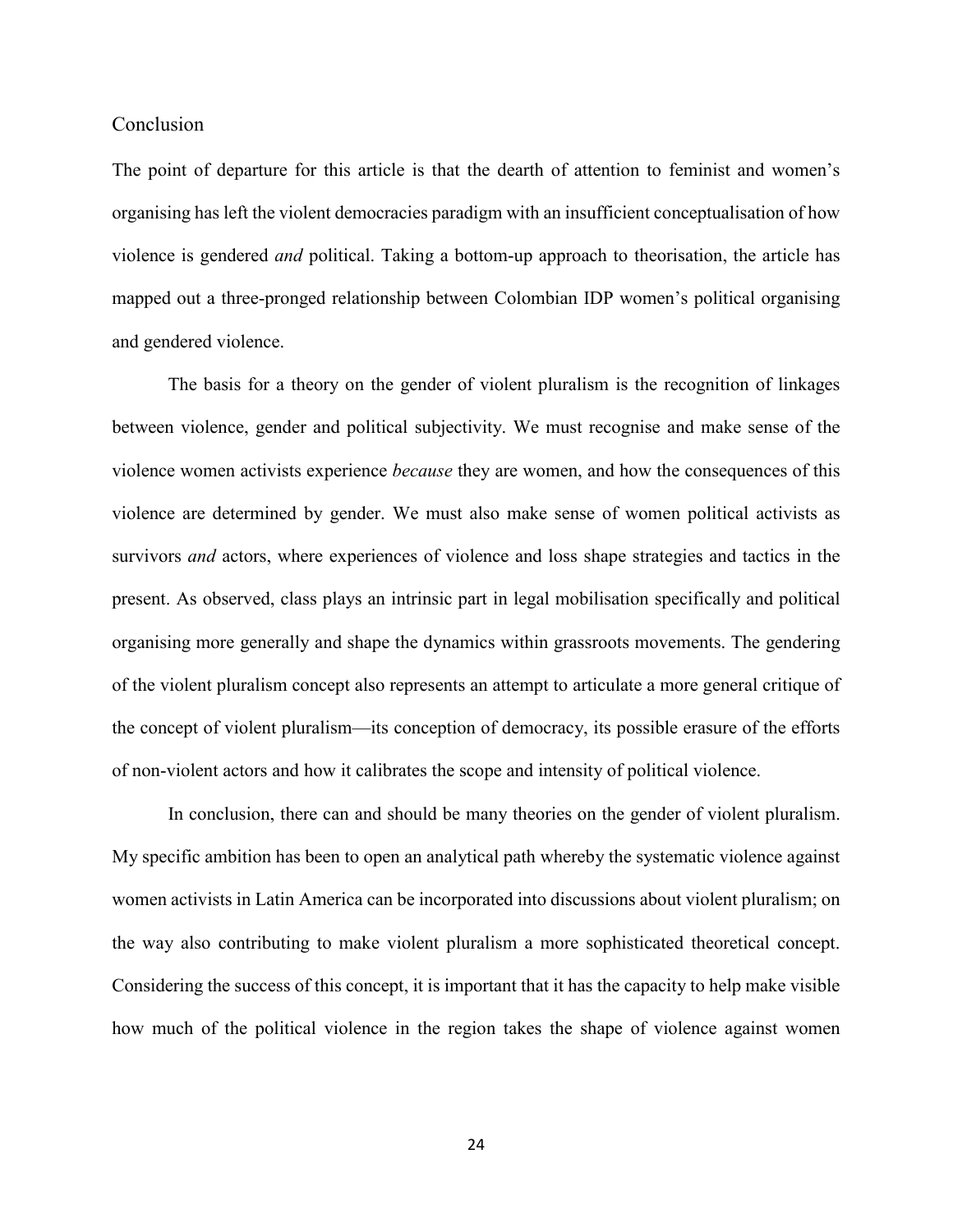## Conclusion

The point of departure for this article is that the dearth of attention to feminist and women's organising has left the violent democracies paradigm with an insufficient conceptualisation of how violence is gendered *and* political. Taking a bottom-up approach to theorisation, the article has mapped out a three-pronged relationship between Colombian IDP women's political organising and gendered violence.

The basis for a theory on the gender of violent pluralism is the recognition of linkages between violence, gender and political subjectivity. We must recognise and make sense of the violence women activists experience *because* they are women, and how the consequences of this violence are determined by gender. We must also make sense of women political activists as survivors *and* actors, where experiences of violence and loss shape strategies and tactics in the present. As observed, class plays an intrinsic part in legal mobilisation specifically and political organising more generally and shape the dynamics within grassroots movements. The gendering of the violent pluralism concept also represents an attempt to articulate a more general critique of the concept of violent pluralism—its conception of democracy, its possible erasure of the efforts of non-violent actors and how it calibrates the scope and intensity of political violence.

In conclusion, there can and should be many theories on the gender of violent pluralism. My specific ambition has been to open an analytical path whereby the systematic violence against women activists in Latin America can be incorporated into discussions about violent pluralism; on the way also contributing to make violent pluralism a more sophisticated theoretical concept. Considering the success of this concept, it is important that it has the capacity to help make visible how much of the political violence in the region takes the shape of violence against women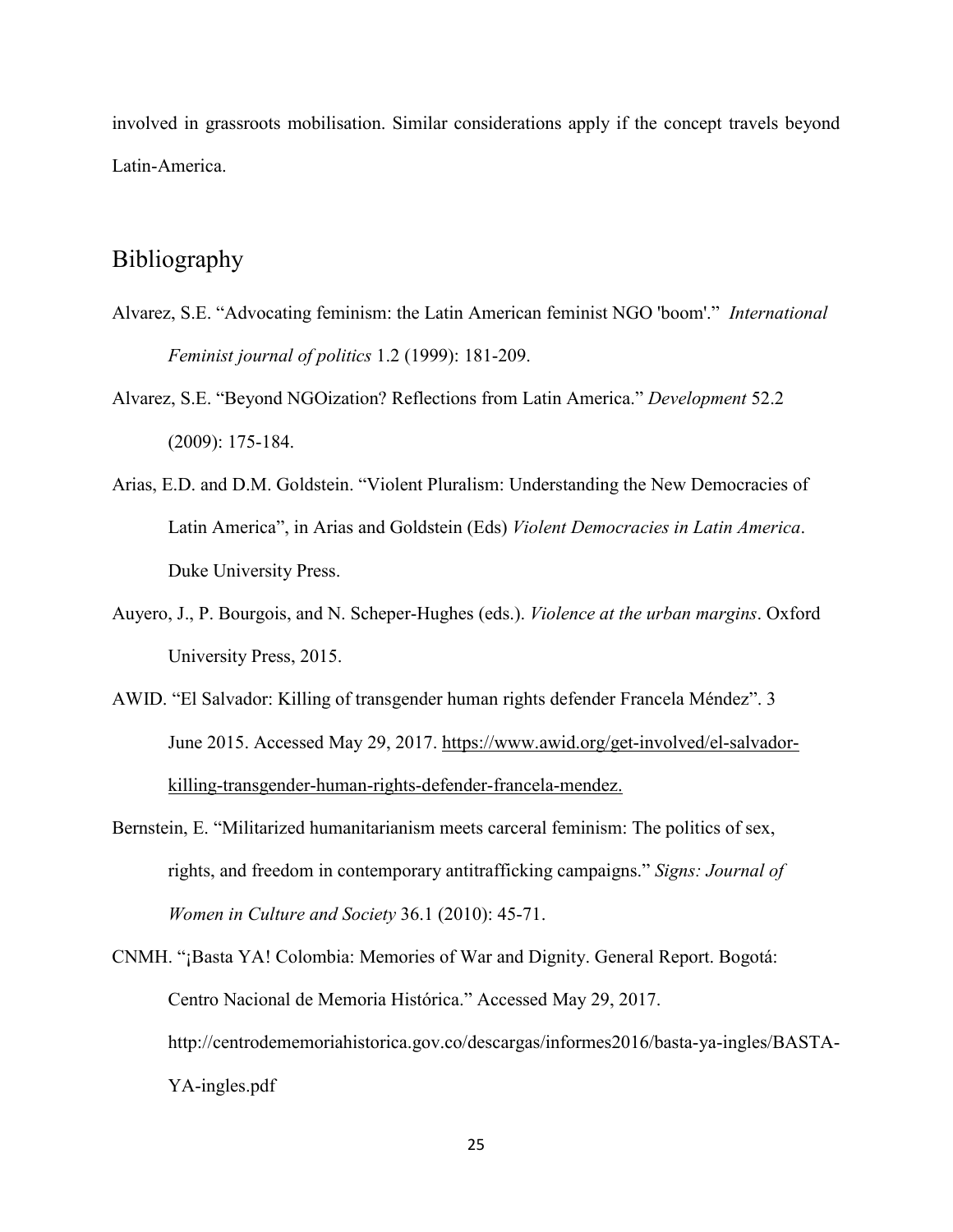involved in grassroots mobilisation. Similar considerations apply if the concept travels beyond Latin-America.

# Bibliography

- Alvarez, S.E. "Advocating feminism: the Latin American feminist NGO 'boom'." *International Feminist journal of politics* 1.2 (1999): 181-209.
- Alvarez, S.E. "Beyond NGOization? Reflections from Latin America." *Development* 52.2 (2009): 175-184.
- Arias, E.D. and D.M. Goldstein. "Violent Pluralism: Understanding the New Democracies of Latin America", in Arias and Goldstein (Eds) *Violent Democracies in Latin America*. Duke University Press.
- Auyero, J., P. Bourgois, and N. Scheper-Hughes (eds.). *Violence at the urban margins*. Oxford University Press, 2015.
- AWID. "El Salvador: Killing of transgender human rights defender Francela Méndez". 3 June 2015. Accessed May 29, 2017. [https://www.awid.org/get-involved/el-salvador](https://www.awid.org/get-involved/el-salvador-killing-transgender-human-rights-defender-francela-mendez)[killing-transgender-human-rights-defender-francela-mendez.](https://www.awid.org/get-involved/el-salvador-killing-transgender-human-rights-defender-francela-mendez)
- Bernstein, E. "Militarized humanitarianism meets carceral feminism: The politics of sex, rights, and freedom in contemporary antitrafficking campaigns." *Signs: Journal of Women in Culture and Society* 36.1 (2010): 45-71.
- CNMH. "¡Basta YA! Colombia: Memories of War and Dignity. General Report. Bogotá: Centro Nacional de Memoria Histórica." Accessed May 29, 2017. [http://centrodememoriahistorica.gov.co/descargas/informes2016/basta-ya-ingles/BASTA-](http://centrodememoriahistorica.gov.co/descargas/informes2016/basta-ya-ingles/BASTA-YA-ingles.pdf)[YA-ingles.pdf](http://centrodememoriahistorica.gov.co/descargas/informes2016/basta-ya-ingles/BASTA-YA-ingles.pdf)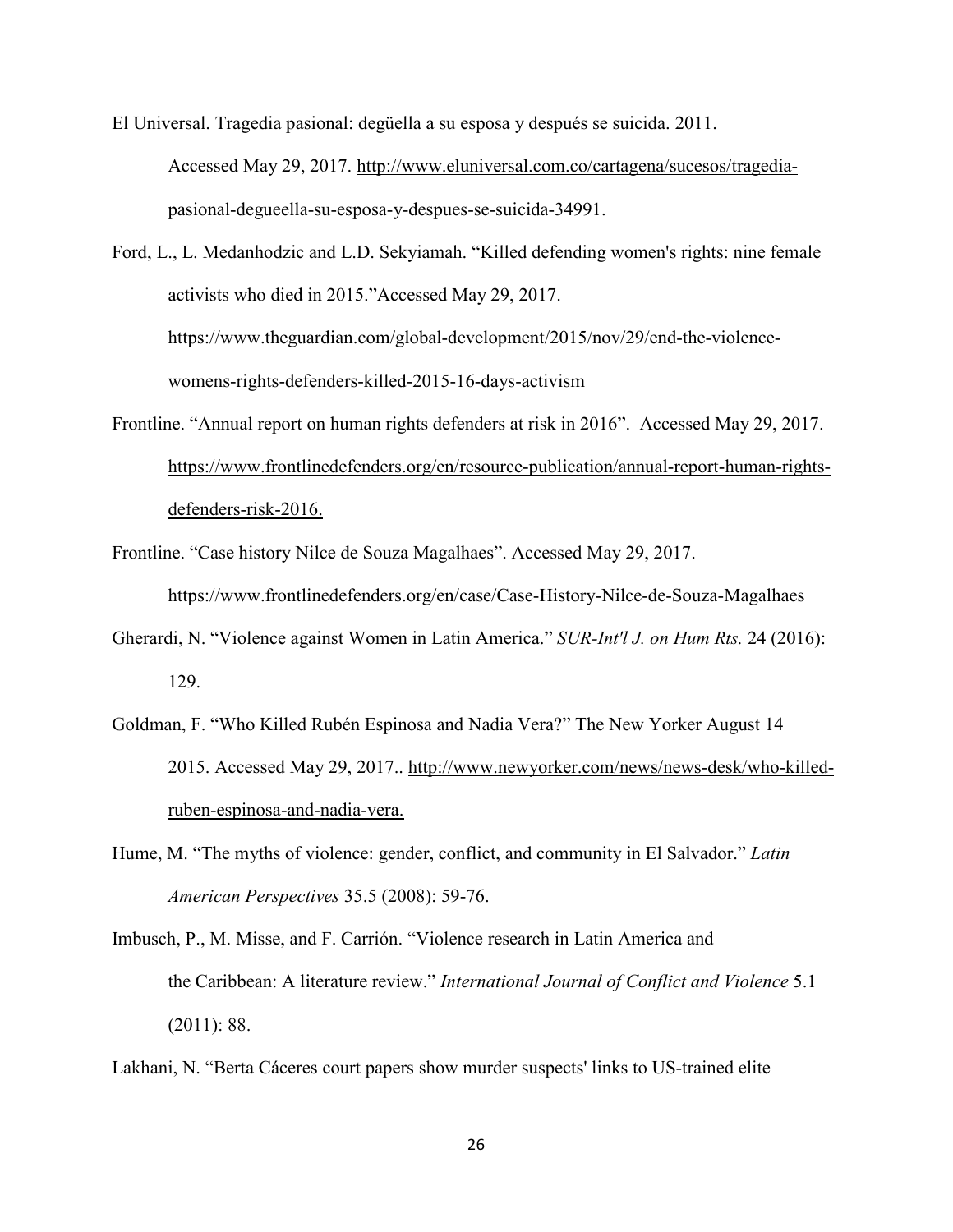El Universal. Tragedia pasional: degüella a su esposa y después se suicida. 2011. Accessed May 29, 2017. [http://www.eluniversal.com.co/cartagena/sucesos/tragedia](http://www.eluniversal.com.co/cartagena/sucesos/tragedia-pasional-degueella-)[pasional-degueella-s](http://www.eluniversal.com.co/cartagena/sucesos/tragedia-pasional-degueella-)u-esposa-y-despues-se-suicida-34991.

Ford, L., L. Medanhodzic and L.D. Sekyiamah. "Killed defending women's rights: nine female activists who died in 2015."Accessed May 29, 2017. [https://www.theguardian.com/global-development/2015/nov/29/end-the-violence](https://www.theguardian.com/global-development/2015/nov/29/end-the-violence-womens-rights-defenders-killed-2015-16-days-activism)[womens-rights-defenders-killed-2015-16-days-activism](https://www.theguardian.com/global-development/2015/nov/29/end-the-violence-womens-rights-defenders-killed-2015-16-days-activism)

- Frontline. "Annual report on human rights defenders at risk in 2016". Accessed May 29, 2017. [https://www.frontlinedefenders.org/en/resource-publication/annual-report-human-rights](https://www.frontlinedefenders.org/en/resource-publication/annual-report-human-rights-defenders-risk-2016)[defenders-risk-2016.](https://www.frontlinedefenders.org/en/resource-publication/annual-report-human-rights-defenders-risk-2016)
- Frontline. "Case history Nilce de Souza Magalhaes". Accessed May 29, 2017.

<https://www.frontlinedefenders.org/en/case/Case-History-Nilce-de-Souza-Magalhaes>

- Gherardi, N. "Violence against Women in Latin America." *SUR-Int'l J. on Hum Rts.* 24 (2016): 129.
- Goldman, F. "Who Killed Rubén Espinosa and Nadia Vera?" The New Yorker August 14 2015. Accessed May 29, 2017.. [http://www.newyorker.com/news/news-desk/who-killed](http://www.newyorker.com/news/news-desk/who-killed-ruben-espinosa-and-nadia-vera)[ruben-espinosa-and-nadia-vera.](http://www.newyorker.com/news/news-desk/who-killed-ruben-espinosa-and-nadia-vera)
- Hume, M. "The myths of violence: gender, conflict, and community in El Salvador." *Latin American Perspectives* 35.5 (2008): 59-76.
- Imbusch, P., M. Misse, and F. Carrión. "Violence research in Latin America and the Caribbean: A literature review." *International Journal of Conflict and Violence* 5.1 (2011): 88.

Lakhani, N. "Berta Cáceres court papers show murder suspects' links to US-trained elite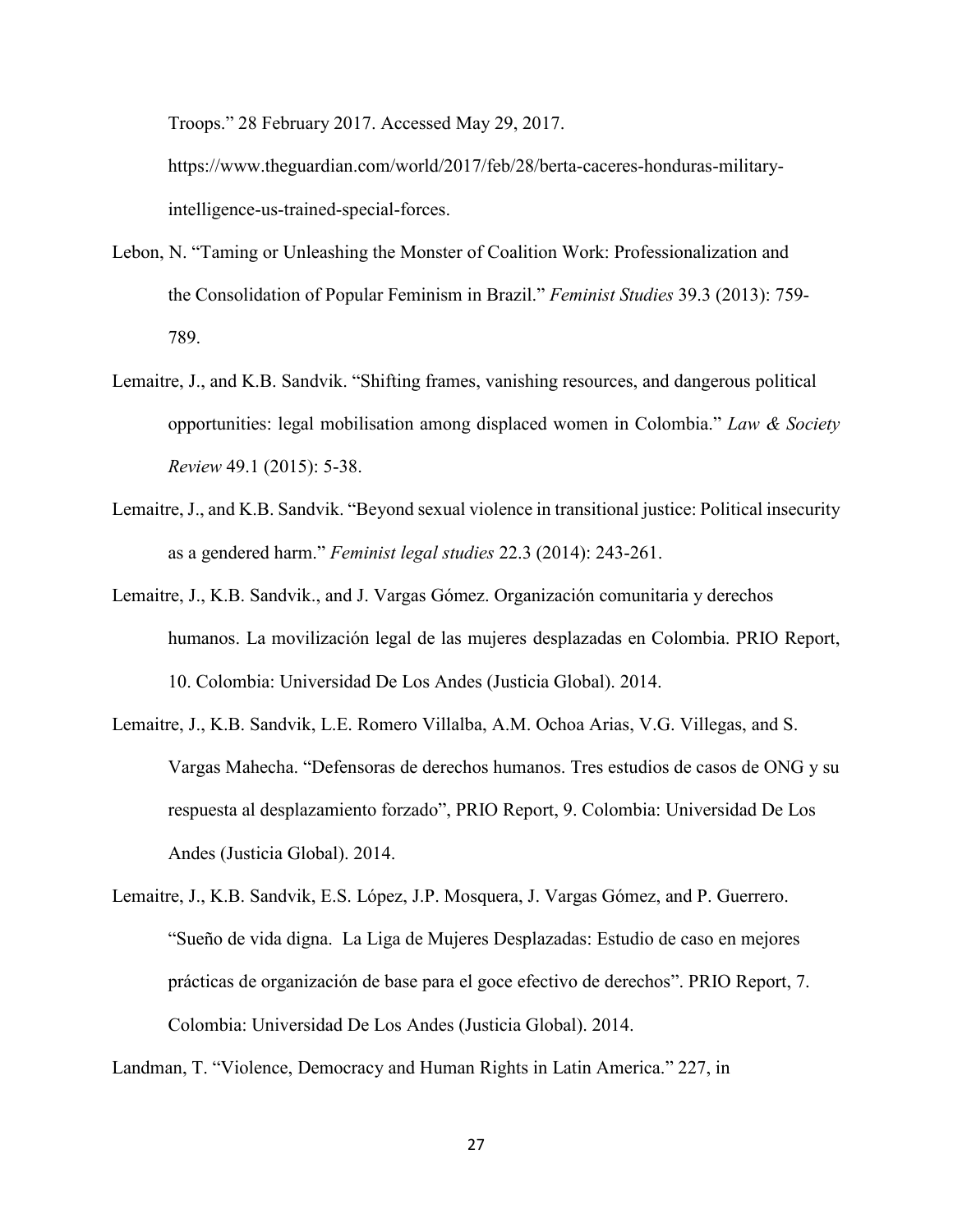Troops." 28 February 2017. Accessed May 29, 2017.

[https://www.theguardian.com/world/2017/feb/28/berta-caceres-honduras-military](https://www.theguardian.com/world/2017/feb/28/berta-caceres-honduras-military-intelligence-us-trained-special-forces)[intelligence-us-trained-special-forces.](https://www.theguardian.com/world/2017/feb/28/berta-caceres-honduras-military-intelligence-us-trained-special-forces)

- Lebon, N. "Taming or Unleashing the Monster of Coalition Work: Professionalization and the Consolidation of Popular Feminism in Brazil." *Feminist Studies* 39.3 (2013): 759- 789.
- Lemaitre, J., and K.B. Sandvik. "Shifting frames, vanishing resources, and dangerous political opportunities: legal mobilisation among displaced women in Colombia." *Law & Society Review* 49.1 (2015): 5-38.
- Lemaitre, J., and K.B. Sandvik. "Beyond sexual violence in transitional justice: Political insecurity as a gendered harm." *Feminist legal studies* 22.3 (2014): 243-261.
- Lemaitre, J., K.B. Sandvik., and J. Vargas Gómez. Organización comunitaria y derechos humanos. La movilización legal de las mujeres desplazadas en Colombia. PRIO Report, 10. Colombia: Universidad De Los Andes (Justicia Global). 2014.
- Lemaitre, J., K.B. Sandvik, L.E. Romero Villalba, A.M. Ochoa Arias, V.G. Villegas, and S. Vargas Mahecha. "Defensoras de derechos humanos. Tres estudios de casos de ONG y su respuesta al desplazamiento forzado", PRIO Report, 9. Colombia: Universidad De Los Andes (Justicia Global). 2014.
- Lemaitre, J., K.B. Sandvik, E.S. López, J.P. Mosquera, J. Vargas Gómez, and P. Guerrero. "Sueño de vida digna. La Liga de Mujeres Desplazadas: Estudio de caso en mejores prácticas de organización de base para el goce efectivo de derechos". PRIO Report, 7. Colombia: Universidad De Los Andes (Justicia Global). 2014.

Landman, T. "Violence, Democracy and Human Rights in Latin America." 227, in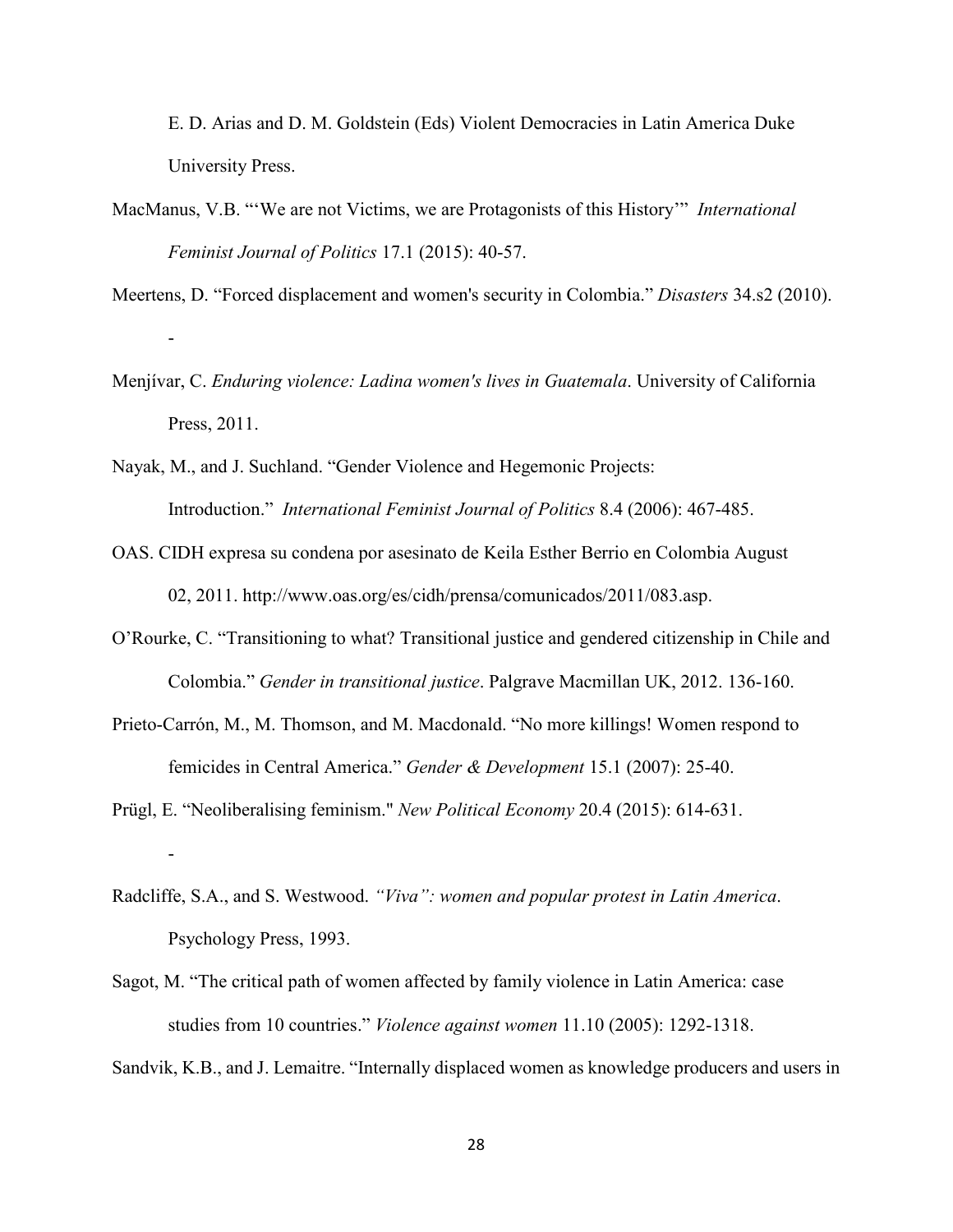E. D. Arias and D. M. Goldstein (Eds) Violent Democracies in Latin America Duke University Press.

- MacManus, V.B. "'We are not Victims, we are Protagonists of this History'" *International Feminist Journal of Politics* 17.1 (2015): 40-57.
- Meertens, D. "Forced displacement and women's security in Colombia." *Disasters* 34.s2 (2010). -
- Menjívar, C. *Enduring violence: Ladina women's lives in Guatemala*. University of California Press, 2011.
- Nayak, M., and J. Suchland. "Gender Violence and Hegemonic Projects: Introduction." *International Feminist Journal of Politics* 8.4 (2006): 467-485.
- OAS. CIDH expresa su condena por asesinato de Keila Esther Berrio en Colombia August 02, 2011. http://www.oas.org/es/cidh/prensa/comunicados/2011/083.asp.
- O'Rourke, C. "Transitioning to what? Transitional justice and gendered citizenship in Chile and Colombia." *Gender in transitional justice*. Palgrave Macmillan UK, 2012. 136-160.
- Prieto-Carrón, M., M. Thomson, and M. Macdonald. "No more killings! Women respond to femicides in Central America." *Gender & Development* 15.1 (2007): 25-40.
- Prügl, E. "Neoliberalising feminism." *New Political Economy* 20.4 (2015): 614-631. -
- Radcliffe, S.A., and S. Westwood. *"Viva": women and popular protest in Latin America*. Psychology Press, 1993.
- Sagot, M. "The critical path of women affected by family violence in Latin America: case studies from 10 countries." *Violence against women* 11.10 (2005): 1292-1318.

Sandvik, K.B., and J. Lemaitre. "Internally displaced women as knowledge producers and users in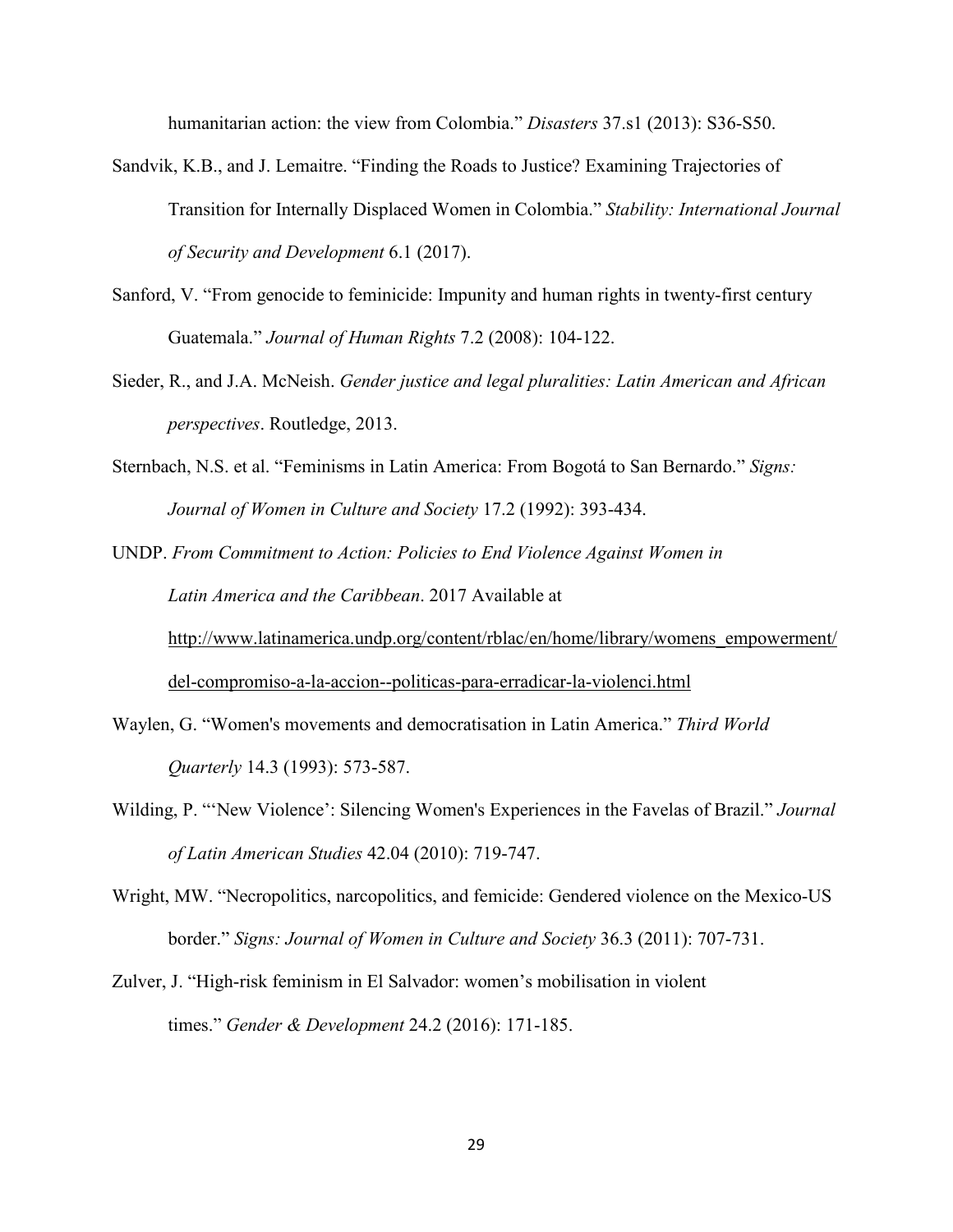humanitarian action: the view from Colombia." *Disasters* 37.s1 (2013): S36-S50.

- Sandvik, K.B., and J. Lemaitre. "Finding the Roads to Justice? Examining Trajectories of Transition for Internally Displaced Women in Colombia." *Stability: International Journal of Security and Development* 6.1 (2017).
- Sanford, V. "From genocide to feminicide: Impunity and human rights in twenty-first century Guatemala." *Journal of Human Rights* 7.2 (2008): 104-122.
- Sieder, R., and J.A. McNeish. *Gender justice and legal pluralities: Latin American and African perspectives*. Routledge, 2013.
- Sternbach, N.S. et al. "Feminisms in Latin America: From Bogotá to San Bernardo." *Signs: Journal of Women in Culture and Society* 17.2 (1992): 393-434.

UNDP. *From Commitment to Action: Policies to End Violence Against Women in Latin America and the Caribbean*. 2017 Available at [http://www.latinamerica.undp.org/content/rblac/en/home/library/womens\\_empowerment/](http://www.latinamerica.undp.org/content/rblac/en/home/library/womens_empowerment/del-compromiso-a-la-accion--politicas-para-erradicar-la-violenci.html)

Waylen, G. "Women's movements and democratisation in Latin America." *Third World Quarterly* 14.3 (1993): 573-587.

[del-compromiso-a-la-accion--politicas-para-erradicar-la-violenci.html](http://www.latinamerica.undp.org/content/rblac/en/home/library/womens_empowerment/del-compromiso-a-la-accion--politicas-para-erradicar-la-violenci.html)

- Wilding, P. "'New Violence': Silencing Women's Experiences in the Favelas of Brazil." *Journal of Latin American Studies* 42.04 (2010): 719-747.
- Wright, MW. "Necropolitics, narcopolitics, and femicide: Gendered violence on the Mexico-US border." *Signs: Journal of Women in Culture and Society* 36.3 (2011): 707-731.
- Zulver, J. "High-risk feminism in El Salvador: women's mobilisation in violent times." *Gender & Development* 24.2 (2016): 171-185.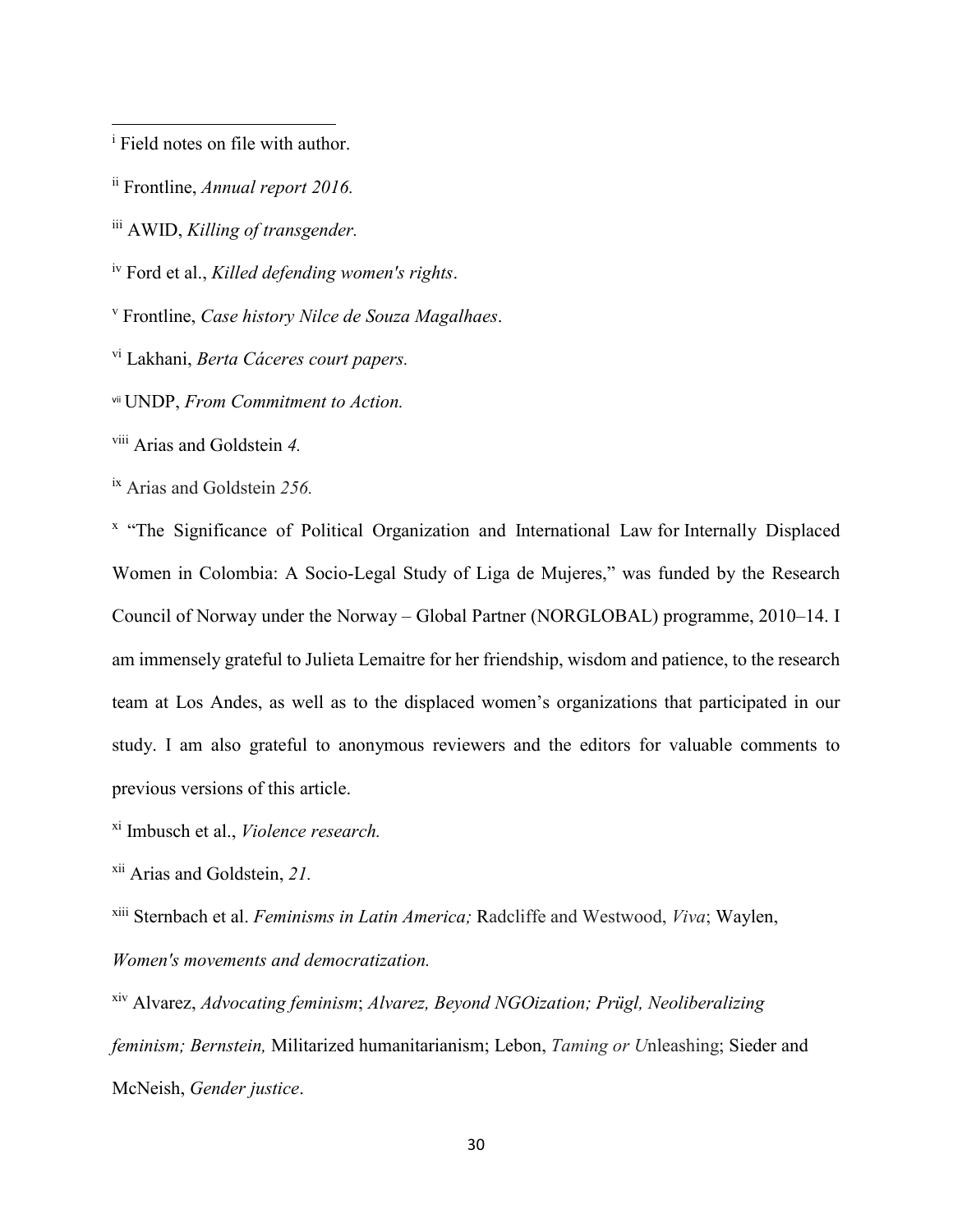<span id="page-29-0"></span><sup>i</sup> Field notes on file with author.

 $\overline{\phantom{a}}$ 

<span id="page-29-1"></span>ii Frontline, *Annual report 2016.*

<span id="page-29-2"></span>iii AWID, *Killing of transgender.*

<span id="page-29-3"></span>iv Ford et al., *Killed defending women's rights*.

<span id="page-29-4"></span><sup>v</sup> Frontline, *Case history Nilce de Souza Magalhaes*.

<span id="page-29-5"></span>vi Lakhani, *Berta Cáceres court papers.*

<span id="page-29-6"></span>vii UNDP, *From Commitment to Action.*

<span id="page-29-7"></span>viii Arias and Goldstein *4.*

<span id="page-29-8"></span>ix Arias and Goldstein *256.*

<span id="page-29-9"></span><sup>x</sup> "The Significance of Political Organization and International Law for Internally Displaced Women in Colombia: A Socio-Legal Study of Liga de Mujeres," was funded by the Research Council of Norway under the Norway – Global Partner (NORGLOBAL) programme, 2010–14. I am immensely grateful to Julieta Lemaitre for her friendship, wisdom and patience, to the research team at Los Andes, as well as to the displaced women's organizations that participated in our study. I am also grateful to anonymous reviewers and the editors for valuable comments to previous versions of this article.

<span id="page-29-10"></span>xi Imbusch et al., *Violence research.*

<span id="page-29-11"></span>xii Arias and Goldstein, *21.*

<span id="page-29-12"></span>xiii Sternbach et al. *Feminisms in Latin America;* Radcliffe and Westwood, *Viva*; Waylen, *Women's movements and democratization.*

<span id="page-29-13"></span>xiv Alvarez, *Advocating feminism*; *Alvarez, Beyond NGOization; Prügl, Neoliberalizing feminism; Bernstein,* Militarized humanitarianism; Lebon, *Taming or U*nleashing; Sieder and McNeish, *Gender justice*.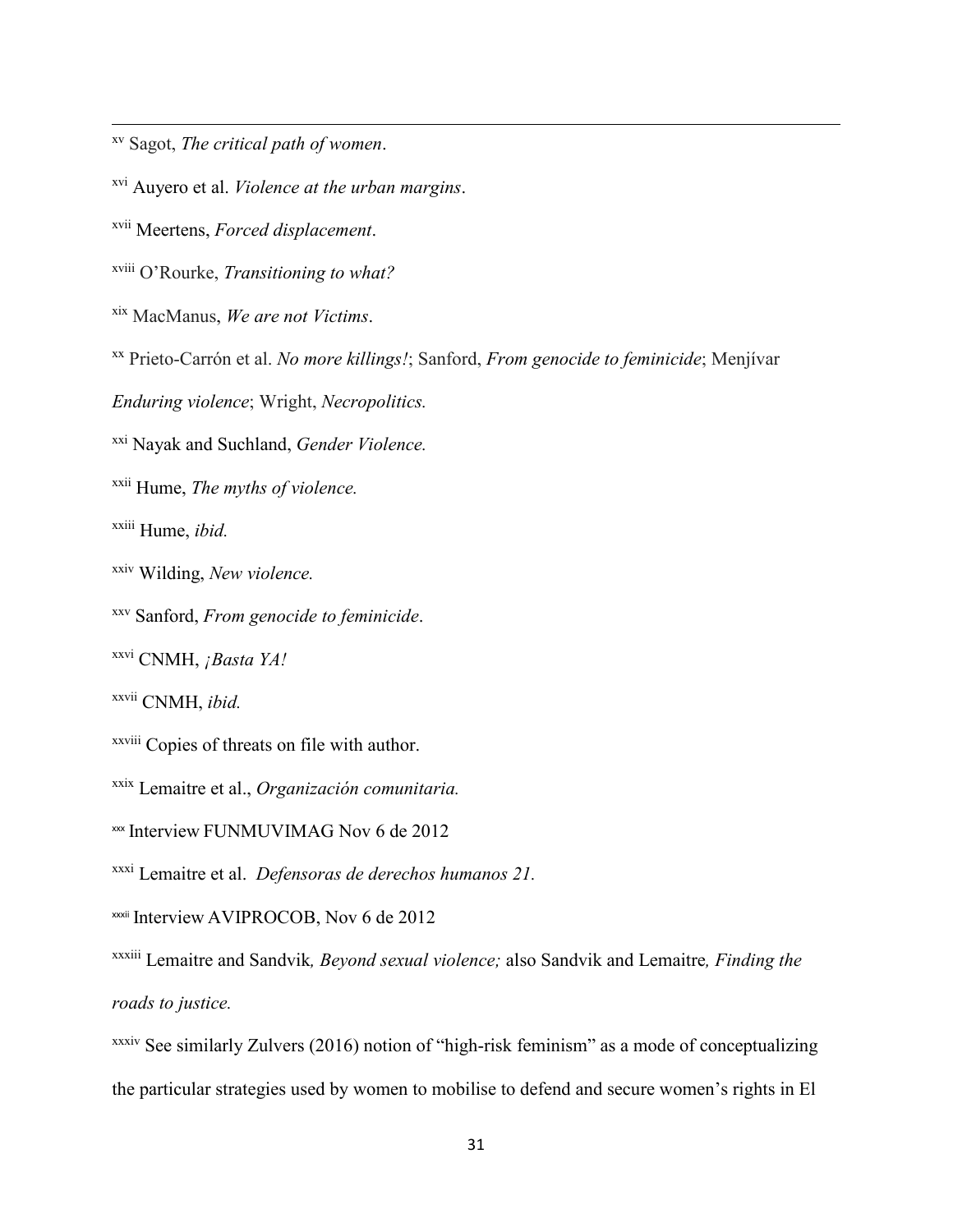<span id="page-30-0"></span>xv Sagot, *The critical path of women*.

<span id="page-30-1"></span>xvi Auyero et al. *Violence at the urban margins*.

<span id="page-30-2"></span>xvii Meertens, *Forced displacement*.

xviii O'Rourke, *Transitioning to what?*

<span id="page-30-3"></span>xix MacManus, *We are not Victims*.

<span id="page-30-4"></span>xx Prieto-Carrón et al. *No more killings!*; Sanford, *From genocide to feminicide*; Menjívar

*Enduring violence*; Wright, *Necropolitics.*

<span id="page-30-5"></span>xxi Nayak and Suchland, *Gender Violence.*

<span id="page-30-6"></span>xxii Hume, *The myths of violence.*

<span id="page-30-7"></span>xxiii Hume, *ibid.*

**.** 

<span id="page-30-8"></span>xxiv Wilding, *New violence.*

<span id="page-30-9"></span>xxv Sanford, *From genocide to feminicide*.

<span id="page-30-10"></span>xxvi CNMH, *¡Basta YA!*

xxvii CNMH, *ibid.*

<span id="page-30-11"></span>xxviii Copies of threats on file with author.

<span id="page-30-12"></span>xxix Lemaitre et al., *Organización comunitaria.*

<span id="page-30-13"></span>xxx Interview FUNMUVIMAG Nov 6 de 2012

<span id="page-30-14"></span>xxxi Lemaitre et al. *Defensoras de derechos humanos 21.*

<span id="page-30-15"></span>xxxii Interview AVIPROCOB, Nov 6 de 2012

<span id="page-30-16"></span>xxxiii Lemaitre and Sandvik*, Beyond sexual violence;* also Sandvik and Lemaitre*, Finding the roads to justice.*

<span id="page-30-17"></span>xxxiv See similarly Zulvers (2016) notion of "high-risk feminism" as a mode of conceptualizing the particular strategies used by women to mobilise to defend and secure women's rights in El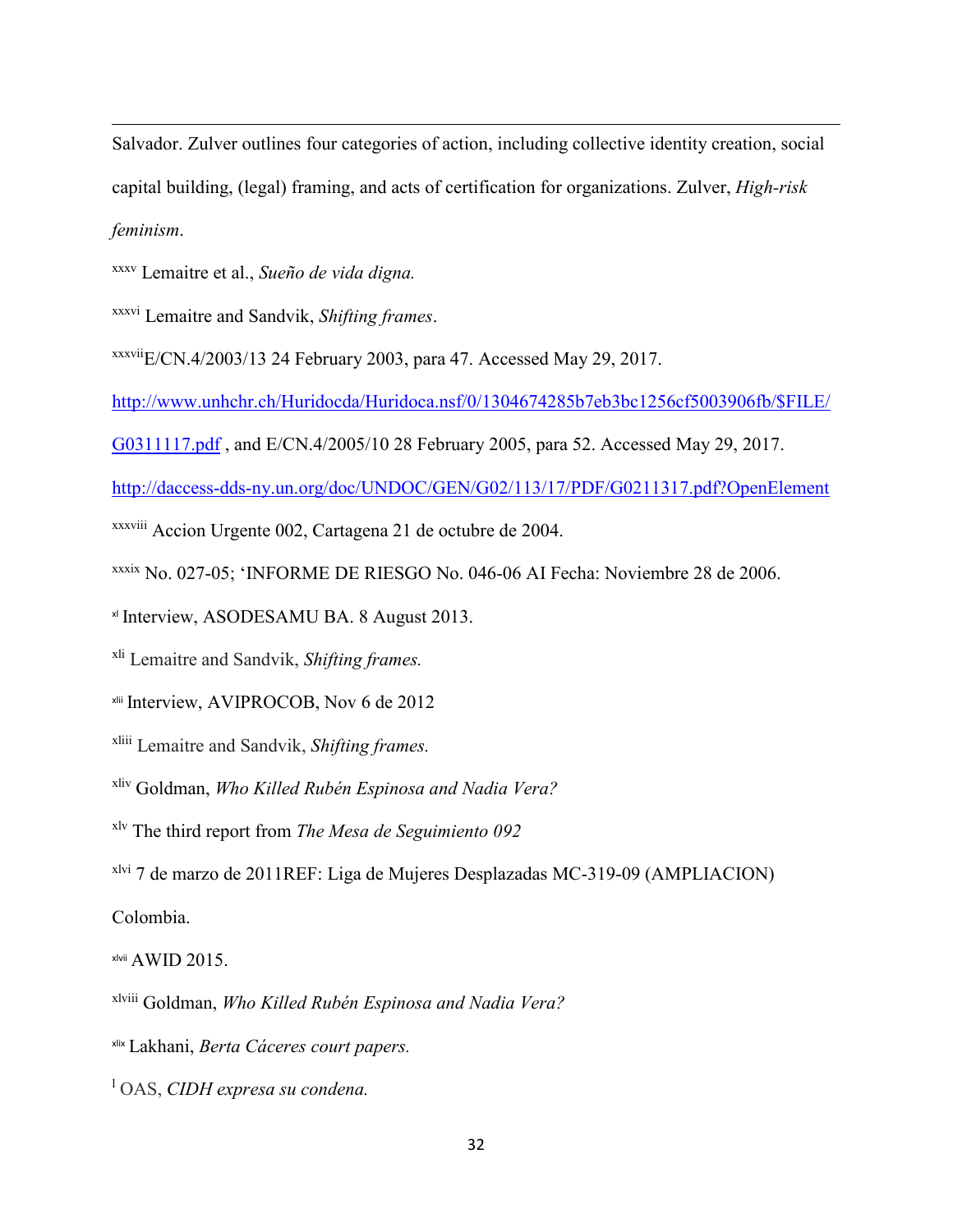Salvador. Zulver outlines four categories of action, including collective identity creation, social capital building, (legal) framing, and acts of certification for organizations. Zulver, *High-risk feminism*.

<span id="page-31-0"></span>xxxv Lemaitre et al., *Sueño de vida digna.*

**.** 

xxxvi Lemaitre and Sandvik, *Shifting frames*.

<span id="page-31-1"></span>xxxviiE/CN.4/2003/13 24 February 2003, para 47. Accessed May 29, 2017.

[http://www.unhchr.ch/Huridocda/Huridoca.nsf/0/1304674285b7eb3bc1256cf5003906fb/\\$FILE/](http://www.unhchr.ch/Huridocda/Huridoca.nsf/0/1304674285b7eb3bc1256cf5003906fb/$FILE/G0311117.pdf)

[G0311117.pdf](http://www.unhchr.ch/Huridocda/Huridoca.nsf/0/1304674285b7eb3bc1256cf5003906fb/$FILE/G0311117.pdf) , and E/CN.4/2005/10 28 February 2005, para 52. Accessed May 29, 2017.

<http://daccess-dds-ny.un.org/doc/UNDOC/GEN/G02/113/17/PDF/G0211317.pdf?OpenElement>

xxxviii Accion Urgente 002, Cartagena 21 de octubre de 2004.

<span id="page-31-2"></span>xxxix No. 027-05; 'INFORME DE RIESGO No. 046-06 AI Fecha: Noviembre 28 de 2006.

<span id="page-31-3"></span>xl Interview, ASODESAMU BA. 8 August 2013.

<span id="page-31-4"></span>xli Lemaitre and Sandvik, *Shifting frames.*

<span id="page-31-5"></span>xlii Interview, AVIPROCOB, Nov 6 de 2012

<span id="page-31-6"></span>xliii Lemaitre and Sandvik, *Shifting frames.*

<span id="page-31-7"></span>xliv Goldman, *Who Killed Rubén Espinosa and Nadia Vera?*

<span id="page-31-8"></span>xlv The third report from *The Mesa de Seguimiento 092*

<span id="page-31-9"></span>xlvi 7 de marzo de 2011REF: Liga de Mujeres Desplazadas MC-319-09 (AMPLIACION)

Colombia.

xlvii AWID 2015.

xlviii Goldman, *Who Killed Rubén Espinosa and Nadia Vera?*

<span id="page-31-10"></span>xlix Lakhani, *Berta Cáceres court papers.*

<span id="page-31-11"></span><sup>l</sup> OAS, *CIDH expresa su condena.*